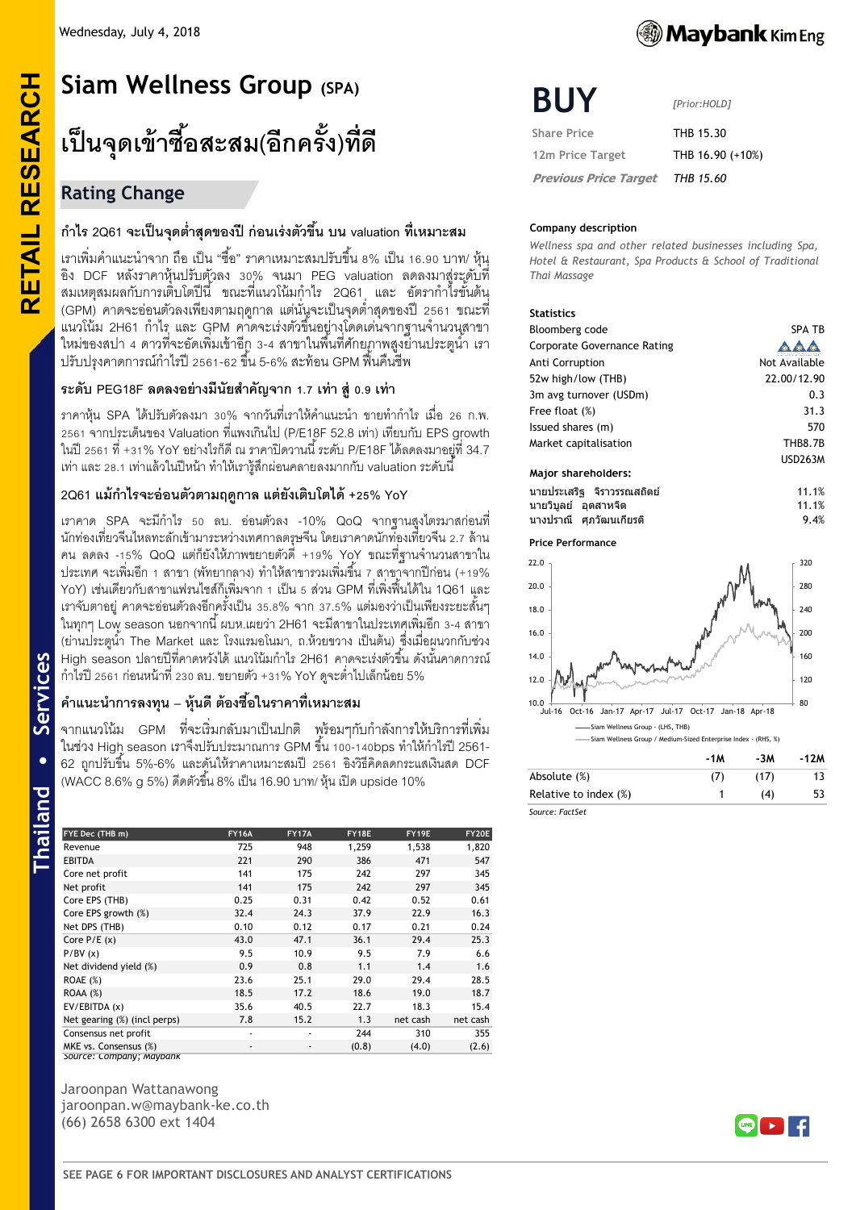## **Rating Change**

**RETAIL RESEARCH**

Services

hailand

**RETAIL RESEARCH** 

## **ก าไร 2Q61 จะเป็ นจุดต ่าสุดของปี ก่อนเร่งตัวขึ้น บน valuation ที่เหมาะสม**

เราเพิ่มคำแนะนำจาก ถือ เป็น "ชื้อ" ราคาเหมาะสมปรับขึ้น 8% เป็น 16.90 บาท/ หุ้น อิง DCF หลังราคาหุ้นปรับตัวลง 30% จนมา PEG valuation ลดลงมาสู่ระดับที่ ี สมเหตุสมผลกับการเติ่บโตปีนี้ ขณะที่แนวโน้มกำไร 2Q61 และ อัตรากำไรขั้นต้น (GPM) คาดจะอ่อนตัวลงเพียงตามฤดูกาล แต่นั่นจะเป็นจุดต่ำสุดของปี 2561 ขณะที่ แนวโน้ม 2H61 กำไร และ GPM คาดจะเร่งตัวขึ้นอยู่างโดดเด่นจากฐานจำนวนสาขา ่ ใหม่ของสปา 4 ดาวที่จะอัดเพิ่มเข้าอีกู 3-4 สาขาในพื้นที่ศักยภาพสูงย่านประตูนำ เรา ี ปรับปรุงคาดการณ์กำไรปี 2561-62 ขึ้น 5-6% สะท้อน GPM ฟื้นคืนชีพ

### **ระดับ PEG18F ลดลงอย่างมีนัยส าคัญจาก 1.7 เท่า สู่0.9 เท่า**

ิ ราคาหุ้น SPA ได้ปรับตัวลงมา 30% จากวันที่เราให้คำแนะนำ ขายทำกำไร เมื่อ 26 ก.พ. 2561 จากประเด็นของ Valuation ที่แพงเกินไป (P/E18F 52.8 เท่า) เทียบกับ EPS growth ในปี 2561 ที่ +31% YoY อย่างไรก็ดี ณ ราคาปิ ดวานนี ้ ระดับ P/E18Fได้ลดลงมาอยู่ที่ 34.7 เท่า และ 28.1เท่าแล้วในปี หน้า ท าให้เรารู้สึกผ่อนคลายลงมากกับ valuation ระดับนี ้

## **2Q61 แม้ก าไรจะอ่อนตัวตามฤดูกาล แต่ยังเติบโตได้ +25% YoY**

**Thailand • Services** เราคาด SPA จะมีก าไร 50 ลบ. อ่อนตัวลง -10% QoQ จากฐานสูงไตรมาสก่อนที่ นักท่องเที่ยวจีนไหลทะลักเข้ามาระหว่างเทศกาลตรุษจีน โดยเราคาดนักท่องเที่ยวจีน 2.7 ล้าน คน ลดลง -15% QoQ แต่ก็ยังให้ภาพขยายตัวดี +19% YoY ขณะที่ฐานจำนวนสาขาใน ประเทศ จะเพิ่มอีก 1 สาขา (พัทยากลาง) ทำให้สาขารวมเพิ่มขึ้น 7 สาขาจากปีก่อน (+19% YoY) เช่นเดียวกับสาขาแฟรนไชส์ก็เพิ่มจาก 1 เป็น 5 ส่วน GPM ที่เพิ่งฟื้นได้ใน 1Q61 และ ี เราจับตาอยู่ คาดจะอ่อนตัวลงอีกครั้งเป็น 35.8% จาก 37.5% แต่มองว่าเป็นเพียงระยะสั้นๆ ในทุกๆ Low season นอกจากนี ้ผบห.เผยว่า 2H61 จะมีสาขาในประเทศเพิ่มอีก 3-4 สาขา (ย่านประตูน้ำ The Market และ โรงแรมอโนมา, ถ.ห้วยขวาง เป็นต้น) ซึ่งเมื่อผูนวกกับช่วง High season ปลายปีที่คาดหวังได้ แนวโน้มกำไร 2H61 คาดจะเร่งตัวขึ้น ดังนั้นคาดการณ์ ก าไรปี 2561 ก่อนหน้าที่ 230 ลบ. ขยายตัว +31% YoY ดูจะต ่าไปเล็กน้อย 5%

## **ค าแนะน าการลงทุน – หุ้นดี ต้องซื้อในราคาที่เหมาะสม**

ี จากแนวโน้ม GPM ที่จะเริ่มกลับมาเป็นปกติ พร้อมๆกับกำลังการให้บริการที่เพิ่ม ในช่วง High season เราจึงปรับประมาณการ GPM ขึ้น 100-140bps ทำให้กำไรปี 2561-62 ถูกปรับขึ ้น 5%-6% และดันให้ราคาเหมาะสมปี 2561 อิงวิธีคิดลดกระแสเงินสด DCF (WACC 8.6% g 5%) ดีดตัวขึ้น 8% เป็น 16.90 บาท/ หุ้น เปิด upside 10%

| FYE Dec (THB m)              | <b>FY16A</b> | <b>FY17A</b> | FY18E | FY19E    | FY20E    |
|------------------------------|--------------|--------------|-------|----------|----------|
| Revenue                      | 725          | 948          | 1,259 | 1,538    | 1,820    |
| <b>EBITDA</b>                | 221          | 290          | 386   | 471      | 547      |
| Core net profit              | 141          | 175          | 242   | 297      | 345      |
| Net profit                   | 141          | 175          | 242   | 297      | 345      |
| Core EPS (THB)               | 0.25         | 0.31         | 0.42  | 0.52     | 0.61     |
| Core EPS growth (%)          | 32.4         | 24.3         | 37.9  | 22.9     | 16.3     |
| Net DPS (THB)                | 0.10         | 0.12         | 0.17  | 0.21     | 0.24     |
| Core $P/E(x)$                | 43.0         | 47.1         | 36.1  | 29.4     | 25.3     |
| P/BV(x)                      | 9.5          | 10.9         | 9.5   | 7.9      | 6.6      |
| Net dividend yield (%)       | 0.9          | 0.8          | 1.1   | 1.4      | 1.6      |
| ROAE (%)                     | 23.6         | 25.1         | 29.0  | 29.4     | 28.5     |
| ROAA (%)                     | 18.5         | 17.2         | 18.6  | 19.0     | 18.7     |
| EV/EBITDA (x)                | 35.6         | 40.5         | 22.7  | 18.3     | 15.4     |
| Net gearing (%) (incl perps) | 7.8          | 15.2         | 1.3   | net cash | net cash |
| Consensus net profit         |              |              | 244   | 310      | 355      |
| MKE vs. Consensus (%)        | ٠            | ٠            | (0.8) | (4.0)    | (2.6)    |

Jaroonpan Wattanawong jaroonpan.w@maybank-ke.co.th (66) 2658 6300 ext 1404

*Source: Company; Maybank*



# **BUY**

*[Prior:HOLD]*

**Share Price THB 15.30 12m Price Target** THB 16.90 (+10%)  **Previous Price Target** *THB 15.60*

#### **Company description**

*Wellness spa and other related businesses including Spa, Hotel & Restaurant, Spa Products & School of Traditional Thai Massage*

#### **Statistics**

| Bloomberg code              | <b>SPA TB</b>  |
|-----------------------------|----------------|
| Corporate Governance Rating |                |
| Anti Corruption             | Not Available  |
| 52w high/low (THB)          | 22.00/12.90    |
| 3m avg turnover (USDm)      | 0.3            |
| Free float (%)              | 31.3           |
| Issued shares (m)           | 570            |
| Market capitalisation       | THB8.7B        |
|                             | <b>USD263M</b> |
| Major shareholders:         |                |
| นายประเสริฐ จิราวรรณสถิตย์  | 11.1%          |

|                    | นายบระเลรฐ จราวรรณลถดย | 11.1% |
|--------------------|------------------------|-------|
| นายวิบลย์ อตสาหจิต |                        | 11.1% |
|                    | นางปราณี ศภวัฒนเกียรติ | 9.4%  |

#### **Price Performance**



|                       | -1M | -3M  | -12M |
|-----------------------|-----|------|------|
| Absolute (%)          |     | (17) |      |
| Relative to index (%) |     | (4)  | 53   |
| Source: FactSet       |     |      |      |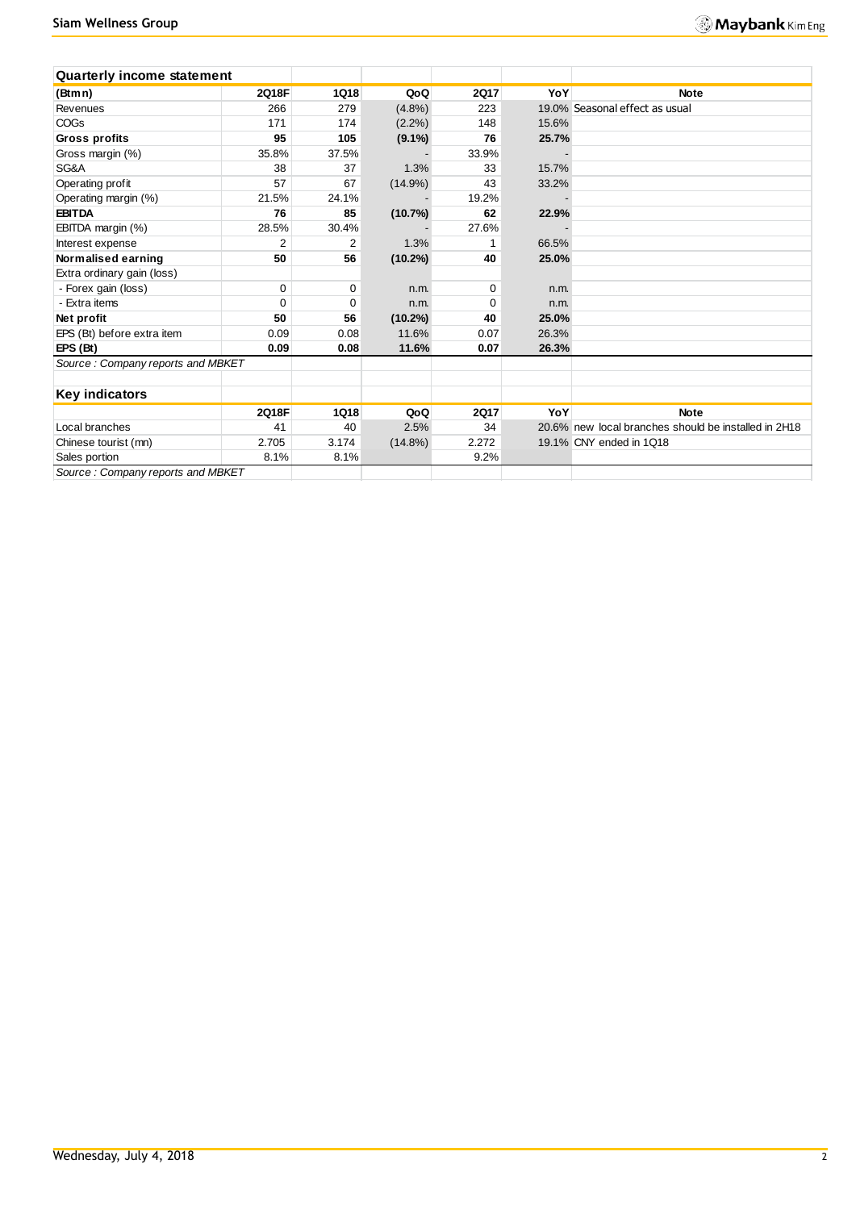| <b>Quarterly income statement</b> |             |             |            |             |       |                                                      |
|-----------------------------------|-------------|-------------|------------|-------------|-------|------------------------------------------------------|
| (Btmn)                            | 2Q18F       | <b>1Q18</b> | QoQ        | <b>2Q17</b> | YoY   | <b>Note</b>                                          |
| Revenues                          | 266         | 279         | $(4.8\%)$  | 223         |       | 19.0% Seasonal effect as usual                       |
| <b>COGs</b>                       | 171         | 174         | $(2.2\%)$  | 148         | 15.6% |                                                      |
| <b>Gross profits</b>              | 95          | 105         | $(9.1\%)$  | 76          | 25.7% |                                                      |
| Gross margin (%)                  | 35.8%       | 37.5%       |            | 33.9%       |       |                                                      |
| SG&A                              | 38          | 37          | 1.3%       | 33          | 15.7% |                                                      |
| Operating profit                  | 57          | 67          | $(14.9\%)$ | 43          | 33.2% |                                                      |
| Operating margin (%)              | 21.5%       | 24.1%       |            | 19.2%       |       |                                                      |
| <b>EBITDA</b>                     | 76          | 85          | (10.7%)    | 62          | 22.9% |                                                      |
| EBITDA margin (%)                 | 28.5%       | 30.4%       |            | 27.6%       |       |                                                      |
| Interest expense                  | 2           | 2           | 1.3%       | 1           | 66.5% |                                                      |
| Normalised earning                | 50          | 56          | $(10.2\%)$ | 40          | 25.0% |                                                      |
| Extra ordinary gain (loss)        |             |             |            |             |       |                                                      |
| - Forex gain (loss)               | 0           | 0           | n.m.       | 0           | n.m.  |                                                      |
| - Extra items                     | $\mathbf 0$ | 0           | n.m.       | $\Omega$    | n.m.  |                                                      |
| Net profit                        | 50          | 56          | $(10.2\%)$ | 40          | 25.0% |                                                      |
| EPS (Bt) before extra item        | 0.09        | 0.08        | 11.6%      | 0.07        | 26.3% |                                                      |
| EPS(Bt)                           | 0.09        | 0.08        | 11.6%      | 0.07        | 26.3% |                                                      |
| Source: Company reports and MBKET |             |             |            |             |       |                                                      |
| Key indicators                    |             |             |            |             |       |                                                      |
|                                   | 2Q18F       | 1Q18        | QoQ        | <b>2Q17</b> | YoY   | <b>Note</b>                                          |
| Local branches                    | 41          | 40          | 2.5%       | 34          |       | 20.6% new local branches should be installed in 2H18 |
| Chinese tourist (mn)              | 2.705       | 3.174       | $(14.8\%)$ | 2.272       |       | 19.1% CNY ended in 1Q18                              |
| Sales portion                     | 8.1%        | 8.1%        |            | 9.2%        |       |                                                      |
| Source: Company reports and MBKET |             |             |            |             |       |                                                      |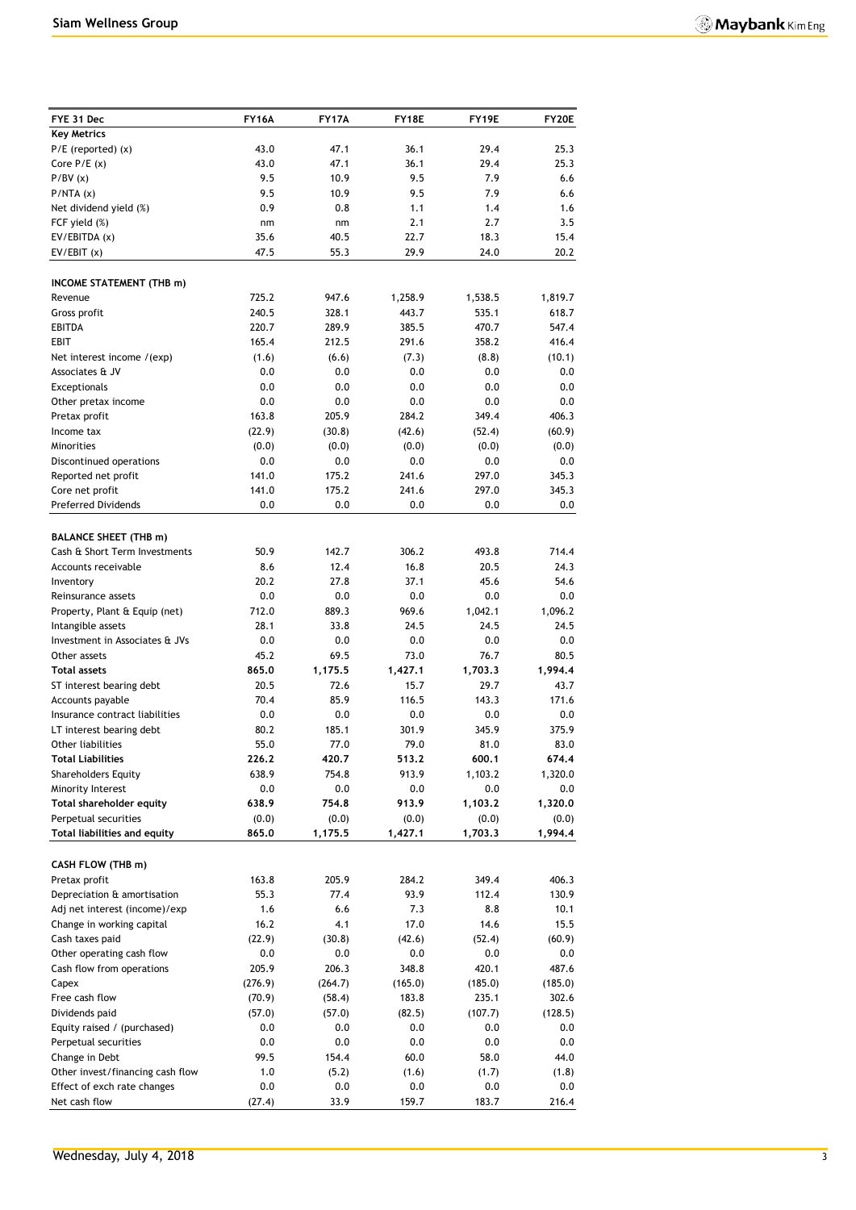| FYE 31 Dec                                             | FY16A          | <b>FY17A</b>     | FY18E            | FY19E            | <b>FY20E</b>     |
|--------------------------------------------------------|----------------|------------------|------------------|------------------|------------------|
| <b>Key Metrics</b>                                     |                |                  |                  |                  |                  |
| $P/E$ (reported) $(x)$                                 | 43.0           | 47.1             | 36.1             | 29.4             | 25.3             |
| Core $P/E(x)$                                          | 43.0           | 47.1             | 36.1             | 29.4             | 25.3             |
| P/BV(x)                                                | 9.5            | 10.9             | 9.5              | 7.9              | 6.6              |
| P/NTA(x)                                               | 9.5            | 10.9             | 9.5              | 7.9              | 6.6              |
| Net dividend yield (%)                                 | 0.9            | 0.8              | 1.1<br>2.1       | 1.4<br>2.7       | 1.6<br>3.5       |
| FCF yield (%)<br>EV/EBITDA (x)                         | nm<br>35.6     | nm<br>40.5       | 22.7             | 18.3             | 15.4             |
| EV/EBIT(x)                                             | 47.5           | 55.3             | 29.9             | 24.0             | 20.2             |
|                                                        |                |                  |                  |                  |                  |
| INCOME STATEMENT (THB m)                               |                |                  |                  |                  |                  |
| Revenue                                                | 725.2          | 947.6            | 1,258.9          | 1,538.5          | 1,819.7          |
| Gross profit                                           | 240.5          | 328.1            | 443.7            | 535.1            | 618.7            |
| <b>EBITDA</b><br>EBIT                                  | 220.7<br>165.4 | 289.9<br>212.5   | 385.5<br>291.6   | 470.7<br>358.2   | 547.4<br>416.4   |
| Net interest income /(exp)                             | (1.6)          | (6.6)            | (7.3)            | (8.8)            | (10.1)           |
| Associates & JV                                        | 0.0            | 0.0              | 0.0              | 0.0              | 0.0              |
| Exceptionals                                           | 0.0            | 0.0              | 0.0              | 0.0              | 0.0              |
| Other pretax income                                    | 0.0            | 0.0              | 0.0              | 0.0              | 0.0              |
| Pretax profit                                          | 163.8          | 205.9            | 284.2            | 349.4            | 406.3            |
| Income tax                                             | (22.9)         | (30.8)           | (42.6)           | (52.4)           | (60.9)           |
| Minorities                                             | (0.0)          | (0.0)            | (0.0)            | (0.0)            | (0.0)            |
| Discontinued operations                                | 0.0            | 0.0              | 0.0              | 0.0              | 0.0              |
| Reported net profit                                    | 141.0          | 175.2            | 241.6            | 297.0            | 345.3            |
| Core net profit                                        | 141.0          | 175.2            | 241.6            | 297.0            | 345.3            |
| <b>Preferred Dividends</b>                             | 0.0            | 0.0              | 0.0              | 0.0              | 0.0              |
| <b>BALANCE SHEET (THB m)</b>                           |                |                  |                  |                  |                  |
| Cash & Short Term Investments                          | 50.9           | 142.7            | 306.2            | 493.8            | 714.4            |
| Accounts receivable                                    | 8.6            | 12.4             | 16.8             | 20.5             | 24.3             |
| Inventory                                              | 20.2           | 27.8             | 37.1             | 45.6             | 54.6             |
| Reinsurance assets                                     | 0.0            | 0.0              | 0.0              | 0.0              | 0.0              |
| Property, Plant & Equip (net)                          | 712.0          | 889.3            | 969.6            | 1,042.1          | 1,096.2          |
| Intangible assets                                      | 28.1           | 33.8             | 24.5             | 24.5             | 24.5             |
| Investment in Associates & JVs                         | 0.0            | 0.0              | 0.0              | 0.0              | 0.0              |
| Other assets<br><b>Total assets</b>                    | 45.2<br>865.0  | 69.5<br>1,175.5  | 73.0<br>1,427.1  | 76.7<br>1,703.3  | 80.5<br>1,994.4  |
| ST interest bearing debt                               | 20.5           | 72.6             | 15.7             | 29.7             | 43.7             |
| Accounts payable                                       | 70.4           | 85.9             | 116.5            | 143.3            | 171.6            |
| Insurance contract liabilities                         | 0.0            | 0.0              | 0.0              | 0.0              | 0.0              |
| LT interest bearing debt                               | 80.2           | 185.1            | 301.9            | 345.9            | 375.9            |
| Other liabilities                                      | 55.0           | 77.0             | 79.0             | 81.0             | 83.0             |
| <b>Total Liabilities</b>                               | 226.2          | 420.7            | 513.2            | 600.1            | 674.4            |
| <b>Shareholders Equity</b>                             | 638.9          | 754.8            | 913.9            | 1,103.2          | 1,320.0          |
| Minority Interest                                      | 0.0            | 0.0              | 0.0              | 0.0              | 0.0              |
| Total shareholder equity                               | 638.9          | 754.8            | 913.9            | 1,103.2          | 1,320.0          |
| Perpetual securities<br>Total liabilities and equity   | (0.0)<br>865.0 | (0.0)<br>1,175.5 | (0.0)<br>1,427.1 | (0.0)<br>1,703.3 | (0.0)<br>1,994.4 |
|                                                        |                |                  |                  |                  |                  |
| CASH FLOW (THB m)                                      |                |                  |                  |                  |                  |
| Pretax profit                                          | 163.8          | 205.9            | 284.2            | 349.4            | 406.3            |
| Depreciation & amortisation                            | 55.3           | 77.4             | 93.9             | 112.4            | 130.9            |
| Adj net interest (income)/exp                          | 1.6            | 6.6              | 7.3              | 8.8              | 10.1             |
| Change in working capital                              | 16.2           | 4.1              | 17.0             | 14.6             | 15.5             |
| Cash taxes paid                                        | (22.9)         | (30.8)           | (42.6)           | (52.4)           | (60.9)           |
| Other operating cash flow<br>Cash flow from operations | 0.0<br>205.9   | 0.0<br>206.3     | 0.0<br>348.8     | 0.0<br>420.1     | 0.0<br>487.6     |
| Capex                                                  | (276.9)        | (264.7)          | (165.0)          | (185.0)          | (185.0)          |
| Free cash flow                                         | (70.9)         | (58.4)           | 183.8            | 235.1            | 302.6            |
| Dividends paid                                         | (57.0)         | (57.0)           | (82.5)           | (107.7)          | (128.5)          |
| Equity raised / (purchased)                            | 0.0            | 0.0              | 0.0              | $0.0\,$          | 0.0              |
| Perpetual securities                                   | $0.0\,$        | 0.0              | 0.0              | 0.0              | 0.0              |
| Change in Debt                                         | 99.5           | 154.4            | 60.0             | 58.0             | 44.0             |
| Other invest/financing cash flow                       | 1.0            | (5.2)            | (1.6)            | (1.7)            | (1.8)            |
| Effect of exch rate changes                            | 0.0            | 0.0              | 0.0              | 0.0              | $0.0\,$          |
| Net cash flow                                          | (27.4)         | 33.9             | 159.7            | 183.7            | 216.4            |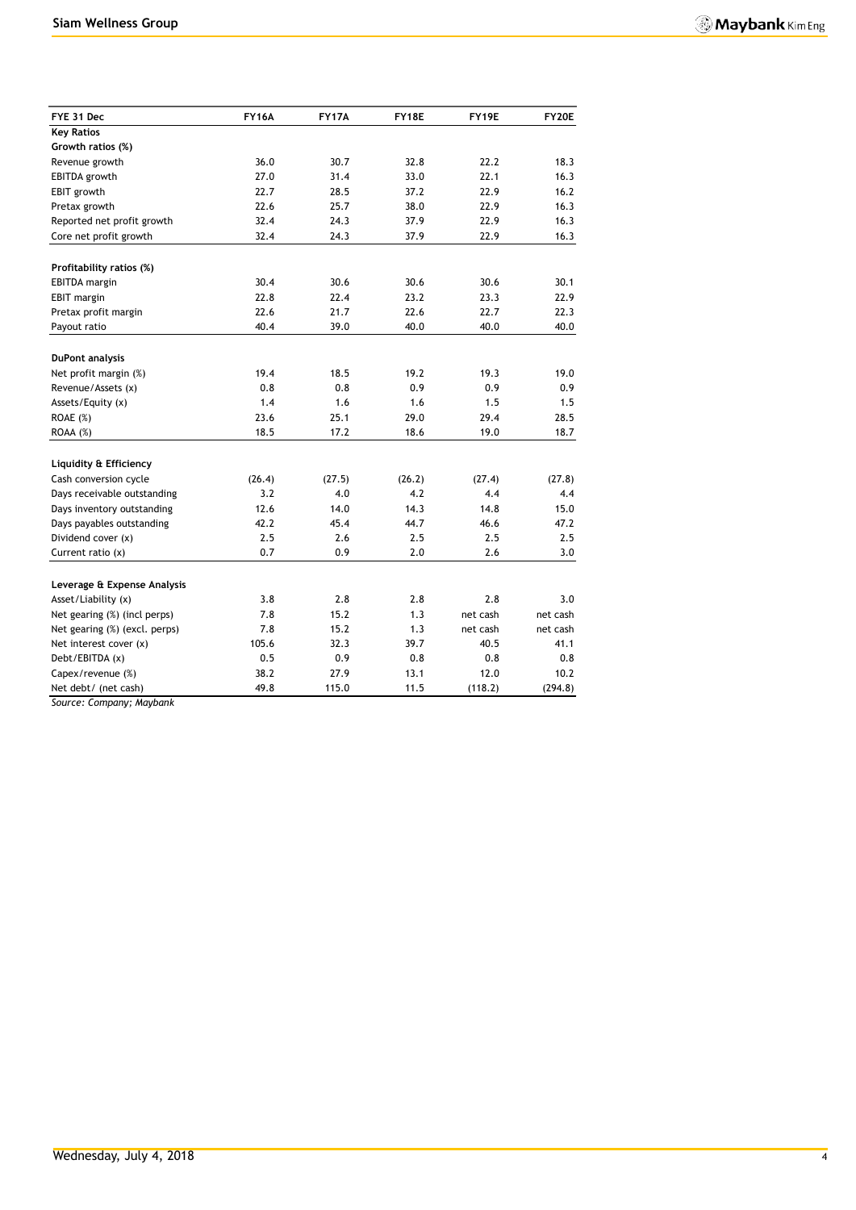| FYE 31 Dec                    | <b>FY16A</b> | <b>FY17A</b> | FY18E      | FY19E        | FY20E        |
|-------------------------------|--------------|--------------|------------|--------------|--------------|
| <b>Key Ratios</b>             |              |              |            |              |              |
| Growth ratios (%)             |              |              |            |              |              |
| Revenue growth                | 36.0         | 30.7         | 32.8       | 22.2         | 18.3         |
| <b>EBITDA</b> growth          | 27.0         | 31.4         | 33.0       | 22.1         | 16.3         |
| EBIT growth                   | 22.7         | 28.5         | 37.2       | 22.9         | 16.2         |
| Pretax growth                 | 22.6         | 25.7         | 38.0       | 22.9         | 16.3         |
| Reported net profit growth    | 32.4         | 24.3         | 37.9       | 22.9         | 16.3         |
| Core net profit growth        | 32.4         | 24.3         | 37.9       | 22.9         | 16.3         |
| Profitability ratios (%)      |              |              |            |              |              |
| <b>EBITDA</b> margin          | 30.4         | 30.6         | 30.6       | 30.6         | 30.1         |
| EBIT margin                   | 22.8         | 22.4         | 23.2       | 23.3         | 22.9         |
| Pretax profit margin          | 22.6         | 21.7         | 22.6       | 22.7         | 22.3         |
| Payout ratio                  | 40.4         | 39.0         | 40.0       | 40.0         | 40.0         |
|                               |              |              |            |              |              |
| <b>DuPont analysis</b>        | 19.4         | 18.5         | 19.2       | 19.3         | 19.0         |
| Net profit margin (%)         | 0.8          |              |            | 0.9          |              |
| Revenue/Assets (x)            | 1.4          | 0.8<br>1.6   | 0.9<br>1.6 | 1.5          | 0.9<br>1.5   |
| Assets/Equity (x)             | 23.6         |              | 29.0       |              |              |
| ROAE (%)<br>ROAA (%)          | 18.5         | 25.1<br>17.2 | 18.6       | 29.4<br>19.0 | 28.5<br>18.7 |
|                               |              |              |            |              |              |
| Liquidity & Efficiency        |              |              |            |              |              |
| Cash conversion cycle         | (26.4)       | (27.5)       | (26.2)     | (27.4)       | (27.8)       |
| Days receivable outstanding   | 3.2          | 4.0          | 4.2        | 4.4          | 4.4          |
| Days inventory outstanding    | 12.6         | 14.0         | 14.3       | 14.8         | 15.0         |
| Days payables outstanding     | 42.2         | 45.4         | 44.7       | 46.6         | 47.2         |
| Dividend cover (x)            | 2.5          | 2.6          | 2.5        | 2.5          | 2.5          |
| Current ratio (x)             | 0.7          | 0.9          | 2.0        | 2.6          | 3.0          |
| Leverage & Expense Analysis   |              |              |            |              |              |
| Asset/Liability (x)           | 3.8          | 2.8          | 2.8        | 2.8          | 3.0          |
| Net gearing (%) (incl perps)  | 7.8          | 15.2         | 1.3        | net cash     | net cash     |
| Net gearing (%) (excl. perps) | 7.8          | 15.2         | 1.3        | net cash     | net cash     |
| Net interest cover (x)        | 105.6        | 32.3         | 39.7       | 40.5         | 41.1         |
| Debt/EBITDA (x)               | 0.5          | 0.9          | 0.8        | 0.8          | 0.8          |
| Capex/revenue (%)             | 38.2         | 27.9         | 13.1       | 12.0         | 10.2         |
| Net debt/ (net cash)          | 49.8         | 115.0        | 11.5       | (118.2)      | (294.8)      |

*Source: Company; Maybank*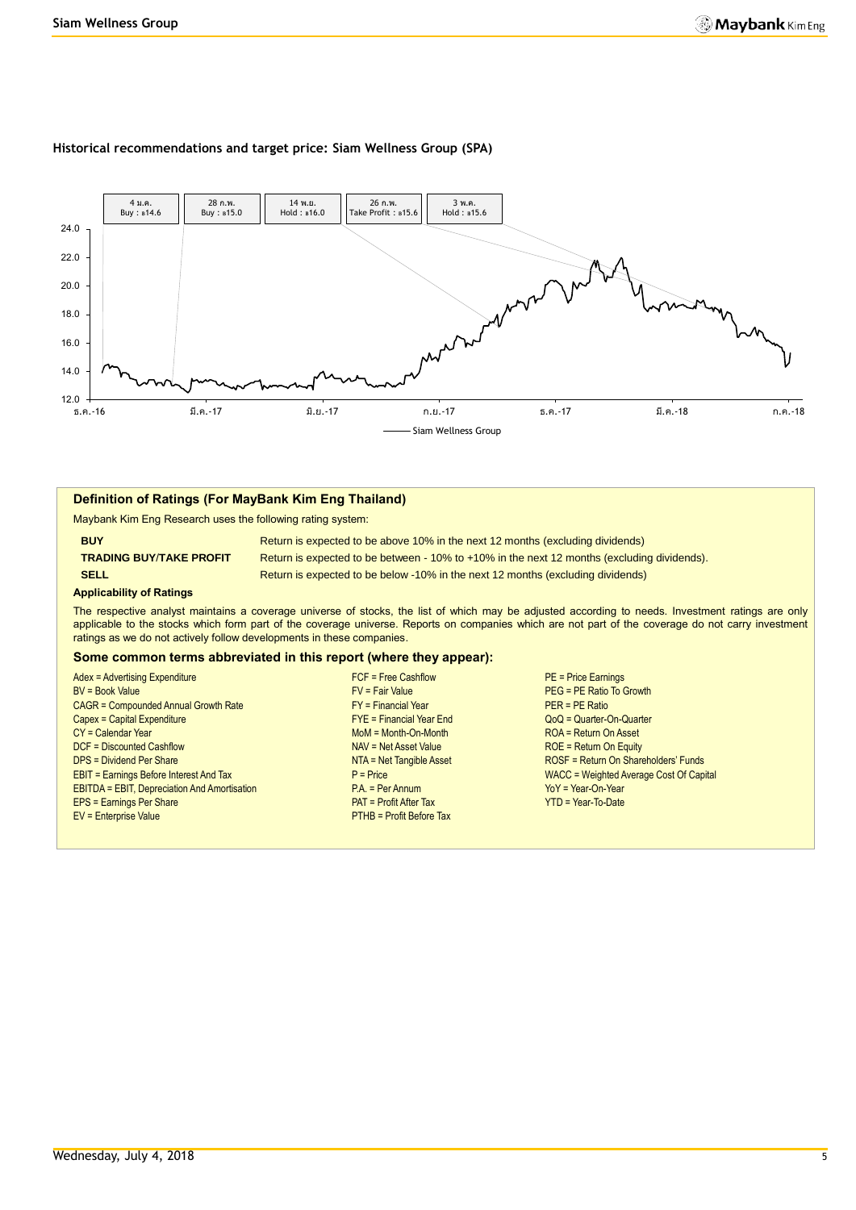#### **Historical recommendations and target price: Siam Wellness Group (SPA)**



#### **Definition of Ratings (For MayBank Kim Eng Thailand)**

Maybank Kim Eng Research uses the following rating system:

**BUY Return is expected to be above 10% in the next 12 months (excluding dividends) TRADING BUY**/**TAKE PROFIT** Return is expected to be between - 10% to +10% in the next 12 months (excluding dividends). **SELL Return is expected to be below -10% in the next 12 months (excluding dividends)** 

#### **Applicability of Ratings**

The respective analyst maintains a coverage universe of stocks, the list of which may be adjusted according to needs. Investment ratings are only applicable to the stocks which form part of the coverage universe. Reports on companies which are not part of the coverage do not carry investment ratings as we do not actively follow developments in these companies.

#### **Some common terms abbreviated in this report (where they appear):**

| Adex = Advertising Expenditure                      |
|-----------------------------------------------------|
| <b>BV</b> = Book Value                              |
| <b>CAGR = Compounded Annual Growth Rate</b>         |
| Capex = Capital Expenditure                         |
| $CY =$ Calendar Year                                |
| <b>DCF</b> = Discounted Cashflow                    |
| <b>DPS = Dividend Per Share</b>                     |
| <b>EBIT = Earnings Before Interest And Tax</b>      |
| <b>EBITDA = EBIT, Depreciation And Amortisation</b> |
| EPS = Earnings Per Share                            |
| EV = Enterprise Value                               |
|                                                     |

- FY = Financial Year<br>
Compounded Annual Year End
FYE = Financial Year End
FYE = Financial Year End
FYE = Financial Year End
FYE = Financial Year End
FYE = Financial Year End
FYE = Financial Year End
FYE = Financial Year End MoM = Month-On-Month ROA = Return On Asset NAV = Net Asset Value ROE = Return On Equity P.A. = Per Annum YoY = Year-On-Year PAT = Profit After Tax YTD = Year-To-Date **PTHB = Profit Before Tax**
- Adex = Advertising Expenditure FCF = Free Cashflow PE = Price Earnings  $PEG = PE$  Ratio To Growth  $Q_0Q = Q$ uarter-On-Quarter NTA = Net Tangible Asset ROSF = Return On Shareholders' Funds **EXTERNINGS BEFORE THE EARLY AND TAX P = Price Intervalse Average Cost Of Capital**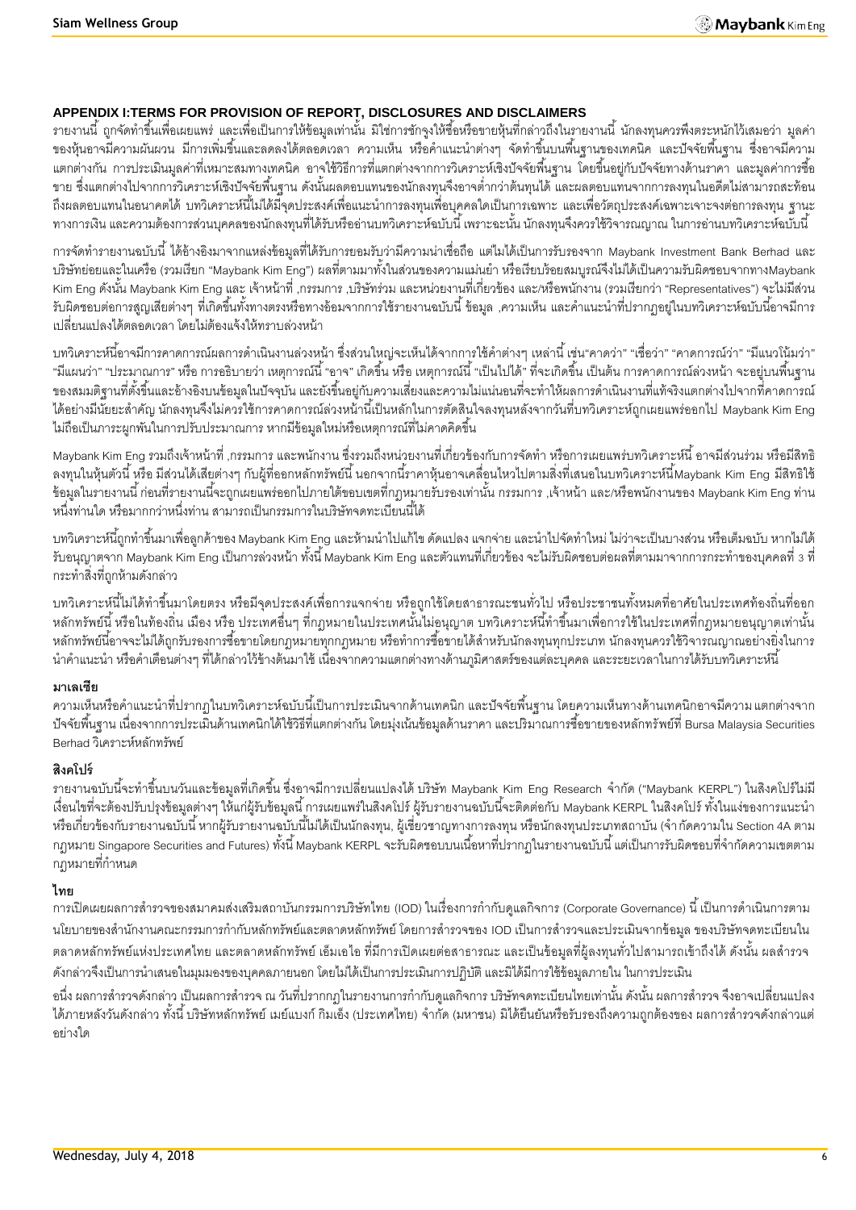## **APPENDIX I:TERMS FOR PROVISION OF REPORT, DISCLOSURES AND DISCLAIMERS**

้ รายงานนี้ ถูกจัดทำขึ้นเพื่อเผยแพร่ และเพื่อเป็นการให้ข้อมูลเท่านั้น มิใช่การชักจูงให้ซื้อหรือขายหุ้นที่กล่าวถึงในรายงานนี้ นักลงทุนควรพึงตระหนักไว้เสมอว่า มูลค่า ี ของหุ้นอาจมีความผันผวน มีการเพิ่มขึ้นและลดลงได้ตลอดเวลา ความเห็น หรือคำแนะนำต่างๆ จัดทำขึ้นบนพื้นฐานของเทคนิค และปัจจัยพื้นฐาน ซึ่งอาจมีความ ้ แตกต่างกัน การประเมินมูลค่าที่เหมาะสมทางเทคนิค อาจใช้วิธีการที่แตกต่างจากการวิเคราะห์เชิงปัจจัยพื้นฐาน โดยขึ้นอยู่กับปัจจัยทางด้านราคา และมูลค่าการซื้อ ่ ขาย ซึ่งแตกต่างไปจากการวิเคราะห์เชิงปัจจัยพื้นฐาน ดังนั้นผลตอบแทนของนักลงทุนจึงอาจต่ำกว่าต้นทุนได้ และผลตอบแทนจากการลงทุนในอดีตไม่สามารถสะท้อน ถึงผลตอบแทนในอนาคตได้ บทวิเคราะห์นี้ไม่ได้มีจุดประสงค์เพื่อแนะนำการลงทุนเพื่อบุคคลใดเป็นการเฉพาะ และเพื่อวัตถุประสงค์เฉพาะเจาะจงต่อการลงทุน ฐานะ ทางการเงิน และความต้องการส่วนบุคคลของนักลงทุนที่ได้รับหรืออ่านบทวิเคราะห์ฉบับนี้ เพราะฉะนั้น นักลงทุนจึงควรใช้วิจารณญาณ ในการอ่านบทวิเคราะห์ฉบับนี้

การจัดทำรายงานฉบับนี้ ได้อ้างอิงมาจากแหล่งข้อมูลที่ได้รับการยอมรับว่ามีความน่าเชื่อถือ แต่ไมได้เป็นการรับรองจาก Maybank Investment Bank Berhad และ บริษัทย่อยและในเครือ (รวมเรียก "Maybank Kim Eng") ผลที่ตามมาทั้งในส่วนของความแม่นยำ หรือเรียบร้อยสมบูรณ์จึงไม่ได้เป็นความรับผิดชอบจากทางMaybank Kim Eng ดังนั้น Maybank Kim Eng และ เจ้าหน้าที่ ,กรรมการ ,บริษัทร่วม และหน่วยงานที่เกี่ยวข้อง และ/หรือพนักงาน (รวมเรียกว่า "Representatives") จะไม่มีส่วน ้ รับผิดชอบต่อการสูญเสียต่างๆ ที่เกิดขึ้นทั้งทางตรงหรือทางอ้อมจากการใช้รายงานฉบับนี้ ข้อมูล ,ความเห็น และคำแนะนำที่ปรากฦอยู่ในบทวิเคราะห์ฉบับนี้อาจมีการ เปลี่ยนแปลงได้ตลอดเวลา โดยไม่ต้องแจ้งให้ทราบล่วงหน้า

้บทวิเคราะห์นี้อาจมีการคาดการณ์ผลการดำเนินงานล่วงหน้า ซึ่งส่วนใหญ่จะเห็นได้จากการใช้คำต่างๆ เหล่านี้ เช่น"คาดว่า" "เชื่อว่า" "คาดการณ์ว่า" "มีแนวโน้มว่า" "มีแผนว่า" "ประมาณการ" หรือ การอธิบายว่า เหตุการณ์นี้ "อาจ" เกิดขึ้น หรือ เหตุการณ์นี้ "เป็นไปได้" ที่จะเกิดขึ้น เป็นต้น การคาดการณ์ล่วงหน้า จะอยู่บนพื้นฐาน ของสมมติฐานที่ตั้งขึ้นและอ้างอิงบนข้อมูลในปัจจุบัน และยังขึ้นอยู่กับความเสี่ยงและความไม่แน่นอนที่จะทำให้ผลการดำเนินงานที่แท้จริงแตกต่างไปจากที่คาดการณ์ ี ได้อย่างมีนัยยะสำคัญ นักลงทุนจึงไม่ควรใช้การคาดการณ์ล่วงหน้านี้เป็นหลักในการตัดสินใจลงทุนหลังจากวันที่บทวิเคราะห์ถูกเผยแพร่ออกไป Maybank Kim Eng ไม่ถือเป็นภาระผูกพันในการปรับประมาณการ หากมีข้อมูลใหม่หรือเหตุการณ์ที่ไม่คาดคิดขึ้น

Maybank Kim Eng รวมถึงเจ้าหน้าที่ ,กรรมการ และพนักงาน ซึ่งรวมถึงหน่วยงานที่เกี่ยวข้องกับการจัดทำ หรือการเผยแพร่บทวิเคราะห์นี้ อาจมีส่วนร่วม หรือมีสิทธิ ิ ลงทุนในหุ้นตัวนี้ หรือ มีส่วนได้เสียต่างๆ กับผู้ที่ออกหลักทรัพย์นี้ นอกจากนี้ราคาหุ้นอาจเคลื่อนไหวไปตามสิ่งที่เสนอในบทวิเคราะห์นี้Maybank Kim Eng มีสิทธิใช้ -ข้อมูลในรายงานนี้ ก่อนที่รายงานนี้จะถูกเผยแพร่ออกไปภายใต้ขอบเขตที่กฎหมายรับรองเท่านั้น กรรมการ ,เจ้าหน้า และ/หรือพนักงานของ Maybank Kim Eng ท่าน หนึ่งท่านใด หรือมากกว่าหนึ่งท่าน สามารถเป็นกรรมการในบริษัทจดทะเบียนนี้ได้

ี บทวิเคราะห์นี้ถูกทำขึ้นมาเพื่อลูกค้าของ Maybank Kim Eng และห้ามนำไปแก้ไข ดัดแปลง แจกจ่าย และนำไปจัดทำใหม่ ไม่ว่าจะเป็นบางส่วน หรือเต็มฉบับ หากไม่ได้ รับอนุญาตจาก Maybank Kim Eng เป็นการล่วงหน้า ทั้งนี้ Maybank Kim Eng และตัวแทนที่เกี่ยวข้อง จะไม่รับผิดชอบต่อผลที่ตามมาจากการกระทำของบุคคลที่ 3 ที่ กระท าสิ่งที่ถูกห้ามดังกล่าว

บทวิเคราะห์นี้ไม่ได้ทำขึ้นมาโดยตรง หรือมีจุดประสงค์เพื่อการแจกจ่าย หรือถูกใช้โดยสาธารณะชนทั่วไป หรือประชาชนทั้งหมดที่อาศัยในประเทศท้องถิ่นที่ออก ่ หลักทรัพย์นี้ หรือในท้องถิ่น เมือง หรือ ประเทศอื่นๆ ที่กฎหมายในประเทศนั้นไม่อนุญาต บทวิเคราะห์นี้ทำขึ้นมาเพื่อการใช้ในประเทศที่กฎหมายอนุญาตเท่านั้น หลักทรัพย์นี้อาจจะไม่ได้ถูกรับรองการซื้อขายโดยกฎหมายทุกกฎหมาย หรือทำการซื้อขายได้สำหรับนักลงทุนทุกประเภท นักลงทุนควรใช้วิจารณญาณอย่างยิ่งในการ นำคำแนะนำ หรือคำเตือนต่างๆ ที่ได้กล่าวไว้ข้างต้นมาใช้ เนื่องจากความแตกต่างทางด้านภูมิศาสตร์ของแต่ละบุคคล และระยะเวลาในการได้รับบทวิเคราะห์นี้

#### **มาเลเซีย**

้ ความเห็นหรือคำแนะนำที่ปรากฏในบทวิเคราะห์ฉบับนี้เป็นการประเมินจากด้านเทคนิก และปัจจัยพื้นฐาน โดยความเห็นทางด้านเทคนิกอาจมีความ แตกต่างจาก -ปัจจัยพื้นฐาน เนื่องจากการประเมินด้านเทคนิกได้ใช้วิธีที่แตกต่างกัน โดยมุ่งเน้นข้อมูลด้านราคา และปริมาณการซื้อขายของหลักทรัพย์ที่ Bursa Malaysia Securities Berhad วิเคราะห์หลักทรัพย์

## **สิงคโปร์**

ิ รายงานฉบับนี้จะทำขึ้นบนวันและข้อมูลที่เกิดขึ้น ซึ่งอาจมีการเปลี่ยนแปลงได้ บริษัท Maybank Kim Eng Research จำกัด ("Maybank KERPL") ในสิงคโปร์ไม่มี เงื่อนไขที่จะต้องปรับปรุงข้อมูลต่างๆ ให้แก่ผู้รับข้อมูลนี้ การเผยแพร่ในสิงคโปร์ ผู้รับรายงานฉบับนี้จะติดต่อกับ Maybank KERPL ในสิงคโปร์ ทั้งในแง่ของการแนะนำ หรือเกี่ยวข้องกับรายงานฉบับนี้ หากผู้รับรายงานฉบับนี้ไม่ได้เป็นนักลงทุน, ผู้เชี่ยวชาญทางการลงทุน หรือนักลงทุนประเภทสถาบัน (จำกัดความใน Section 4A ตาม ึ กฎหมาย Singapore Securities and Futures) ทั้งนี้ Maybank KERPL จะรับผิดชอบบนเนื้อหาที่ปรากฏในรายงานฉบับนี้ แต่เป็นการรับผิดชอบที่จำกัดความเขตตาม ึกภหมายที่กำหน*ด* 

## **ไทย**

การเปิดเผยผลการสำรวจของสมาคมส่งเสริมสถาบันกรรมการบริษัทไทย (IOD) ในเรื่องการกำกับดูแลกิจการ (Corporate Governance) นี้ เป็นการดำเนินการตาม นโยบายของสำนักงานคณะกรรมการกำกับหลักทรัพย์และตลาดหลักทรัพย์ โดยการสำรวจของ IOD เป็นการสำรวจและประเมินจากข้อมูล ของบริษัทจดทะเบียนใน ้ตลาดหลักทรัพย์แห่งประเทศไทย และตลาดหลักทรัพย์ เอ็มเอไอ ที่มีการเปิดเผยต่อสาธารณะ และเป็นข้อมูลที่ผู้ลงทุนทั่วไปสามารถเข้าถึงได้ ดังนั้น ผลสำรวจ ดังกล่าวจึงเป็นการนำเสนอในมุมมองของบุคคลภายนอก โดยไม่ได้เป็นการประเมินการปฏิบัติ และมิได้มีการใช้ข้อมูลภายใน ในการประเมิน

่ อนึ่ง ผลการสำรวจดังกล่าว เป็นผลการสำรวจ ณ วันที่ปรากกฎในรายงานการกำกับดูแลกิจการ บริษัทจดทะเบียนไทยเท่านั้น ดังนั้น ผลการสำรวจ จึงอาจเปลี่ยนแปลง ได้ภายหลังวันดังกล่าว ทั้งนี้ บริษัทหลักทรัพย์ เมย์แบงก์ กิมเอ็ง (ประเทศไทย) จำกัด (มหาชน) มิได้ยืนยันหรือรับรองถึงความถูกต้องของ ผลการสำรวจดังกล่าวแต่ อย่างใด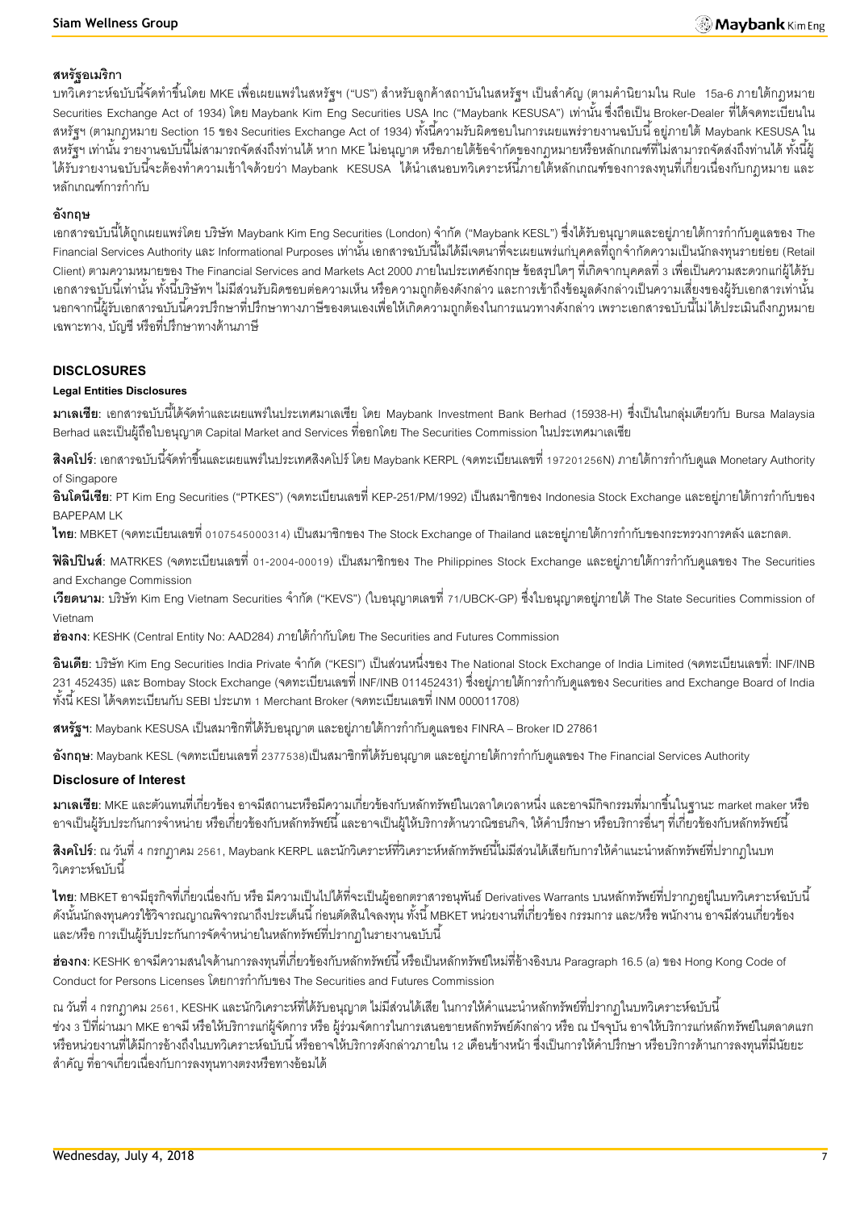#### **สหรัฐอเมริกา**

ี บทวิเคราะห์ฉบับนี้จัดทำขึ้นโดย MKE เพื่อเผยแพร่ในสหรัฐฯ ("US") สำหรับลูกค้าสถาบันในสหรัฐฯ เป็นสำคัญ (ตามคำนิยามใน Rule 15a-6 ภายใต้กฎหมาย Securities Exchange Act of 1934) โดย Maybank Kim Eng Securities USA Inc ("Maybank KESUSA") เท่านั้น ซึ่งถือเป็น Broker-Dealer ที่ได้จดทะเบียนใน สหรัฐฯ (ตามกฎหมาย Section 15 ของ Securities Exchange Act of 1934) ทั้งนี้ความรับผิดชอบในการเผยแพร่รายงานฉบับนี้ อยู่ภายใต้ Maybank KESUSA ใน ี สหรัฐฯ เท่านั้น รายงานฉบับนี้ไม่สามารถจัดส่งถึงท่านได้ หาก MKE ไม่อนุญาต หรือภายใต้ข้อจำกัดของกฎหมายหรือหลักเกณฑ์ที่ไม่สามารถจัดส่งถึงท่านได้ ทั้งนี้ผู้ ได้รับรายงานฉบับนี้จะต้องทำความเข้าใจด้วยว่า Maybank KESUSA ได้นำเสนอบทวิเคราะห์นี้ภายใต้หลักเกณฑ์ของการลงทุนที่เกี่ยวเนื่องกับกฎหมาย และ หลักเกณฑ์การกำกับ

#### **อังกฤษ**

ี เอกสารฉบับนี้ได้ถูกเผยแพร่โดย บริษัท Maybank Kim Eng Securities (London) จำกัด ("Maybank KESL") ซึ่งได้รับอนุญาตและอย่ภายใต้การกำกับดูแลของ The -Financial Services Authority และ Informational Purposes เท่านั้น เอกสารฉบับนี้ไม่ได้มีเจตนาที่จะเผยแพร่แก่บุคคลที่ถูกจำกัดความเป็นนักลงทุนรายย่อย (Retail Client) ตามความหมายของ The Financial Services and Markets Act 2000 ภายในประเทศอังกฤษ ข้อสรุปใดๆ ที่เกิดจากบุคคลที่ 3 เพื่อเป็ นความสะดวกแก่ผู้ได้รับ ้เอกสารฉบับนี้เท่านั้น ทั้งนี้บริษัทฯ ไม่มีส่วนรับผิดชอบต่อความเห็น หรือความถูกต้องดังกล่าว และการเข้าถึงข้อมูลดังกล่าวเป็นความเสี่ยงของผู้รับเอกสารเท่านั้น ้นอกจากนี้ผ้รับเอกสารฉบับนี้ควรปรึกษาที่ปรึกษาทางภาษีของตนเองเพื่อให้เกิดความถูกต้องในการแนวทางดังกล่าว เพราะเอกสารฉบับนี้ไม่ได้ประเมินถึงกฎหมาย เฉพาะทาง, บัญชี หรือที่ปรึกษาทางด้านภาษี

#### **DISCLOSURES**

#### **Legal Entities Disclosures**

**ิมาเลเซีย**: เอกสารฉบับนี้ได้จัดทำและเผยแพร่ในประเทศมาเลเซีย โดย Maybank Investment Bank Berhad (15938-H) ซึ่งเป็นในกลุ่มเดียวกับ Bursa Malaysia Berhad และเป็ นผู้ถือใบอนุญาต Capital Market and Services ที่ออกโดย The Securities Commission ในประเทศมาเลเซีย

**ี <b>สิงคโปร์**: เอกสารฉบับนี้จัดทำขึ้นและเผยแพร่ในประเทศสิงคโปร์ โดย Maybank KERPL (จดทะเบียนเลขที่ 197201256N) ภายใต้การกำกับดูแล Monetary Authority of Singapore

**้อินโดนีเซีย**: PT Kim Eng Securities ("PTKES") (จดทะเบียนเลขที่ KEP-251/PM/1992) เป็นสมาชิกของ Indonesia Stock Exchange และอย่ภายใต้การกำกับของ BAPEPAM LK

**ไทย**: MBKET (จดทะเบียนเลขที่ 0107545000314) เป็นสมาชิกของ The Stock Exchange of Thailand และอยู่ภายใต้การกำกับของกระทรวงการคลัง และกลต.

**ฟิลิปปินส์**: MATRKES (จดทะเบียนเลขที่ 01-2004-00019) เป็นสมาชิกของ The Philippines Stock Exchange และอยู่ภายใต้การกำกับดูแลของ The Securities and Exchange Commission

**เวียดนาม**: บริษัท Kim Eng Vietnam Securities จำกัด ("KEVS") (ใบอนุญาตเลขที่ 71/UBCK-GP) ซึ่งใบอนุญาตอยู่ภายใต้ The State Securities Commission of Vietnam

ี**ฮ่องกง**: KESHK (Central Entity No: AAD284) ภายใต้กำกับโดย The Securities and Futures Commission

**้อินเดีย**: บริษัท Kim Eng Securities India Private จำกัด ("KESI") เป็นส่วนหนึ่งของ The National Stock Exchange of India Limited (จดทะเบียนเลขที่: INF/INB ่ 231 452435) และ Bombay Stock Exchange (จดทะเบียนเลขที่ INF/INB 011452431) ซึ่งอยู่ภายใต้การกำกับดูแลของ Securities and Exchange Board of India ทั ้งนี ้ KESI ได้จดทะเบียนกับ SEBI ประเภท 1 Merchant Broker (จดทะเบียนเลขที่ INM 000011708)

**ิสหรัฐฯ:** Maybank KESUSA เป็นสมาชิกที่ได้รับอนุญาต และอยู่ภายใต้การกำกับดูแลของ FINRA – Broker ID 27861

**อังกฤษ**: Maybank KESL (จดทะเบียนเลขที่ 2377538)เป็นสมาชิกที่ได้รับอนุญาต และอยู่ภายใต้การกำกับดูแลของ The Financial Services Authority

#### **Disclosure of Interest**

**มาเลเซีย:** MKE และตัวแทนที่เกี่ยวข้อง อาจมีสถานะหรือมีความเกี่ยวข้องกับหลักทรัพย์ในเวลาใดเวลาหนึ่ง และอาจมีกิจกรรมที่มากขึ ้นในฐานะ market maker หรือ ่ อาจเป็นผู้รับประกันการจำหน่าย หรือเกี่ยวข้องกับหลักทรัพย์นี้ และอาจเป็นผู้ให้บริการด้านวาณิชธนกิจ, ให้คำปรึกษา หรือบริการอื่นๆ ที่เกี่ยวข้องกับหลักทรัพย์นี้

**สิงคโปร์**: ณ วันที่ 4 กรกฎาคม 2561, Maybank KERPL และนักวิเคราะห์ที่วิเคราะห์หลักทรัพย์นี้ไม่มีส่วนได้เสียกับการให้คำแนะนำหลักทรัพย์ที่ปรากภในบท .<br>วิเคราะห์ล<sub>บับ</sub>นี้

**ไทย**: MBKET อาจมีธุรกิจที่เกี่ยวเนื่องกับ หรือ มีความเป็นไปได้ที่จะเป็นผู้ออกตราสารอนุพันธ์ Derivatives Warrants บนหลักทรัพย์ที่ปรากฏอยู่ในบทวิเคราะห์ฉบับนี้ ดังนั้นนักลงทุนควรใช้วิจารณญาณพิจารณาถึงประเด็นนี้ ก่อนตัดสินใจลงทุน ทั้งนี้ MBKET หน่วยงานที่เกี่ยวข้อง กรรมการ และ/หรือ พนักงาน อาจมีส่วนเกี่ยวข้อง และ/หรือ การเป็นผู้รับประกันการจัดจำหน่ายในหลักทรัพย์ที่ปรากฏในรายงานฉบับนี้

**ฮ่องกง:** KESHK อาจมีความสนใจด้านการลงทุนที่เกี่ยวข้องกับหลักทรัพย์นี้ หรือเป็นหลักทรัพย์ใหม่ที่อ้างอิงบน Paragraph 16.5 (a) ของ Hong Kong Code of Conduct for Persons Licenses โดยการกำกับของ The Securities and Futures Commission

ณ วันที่ 4 กรกฎาคม 2561, KESHK และนักวิเคราะห์ที่ได้รับอนุญาต ไม่มีส่วนได้เสีย ในการให้คำแนะนำหลักทรัพย์ที่ปรากฏในบทวิเคราะห์ฉบับนี้ ี ช่วง 3 ปีที่ผ่านมา MKE อาจมี หรือให้บริการแก่ผู้จัดการ หรือ ผู้ร่วมจัดการในการเสนอขายหลักทรัพย์ดังกล่าว หรือ ณ ปัจจุบัน อาจให้บริการแก่หลักทรัพย์ในตลาดแรก หรือหน่วยงานที่ได้มีการอ้างถึงในบทวิเคราะห์ฉบับนี้ หรืออาจให้บริการดังกล่าวภายใน 12 เดือนข้างหน้า ซึ่งเป็นการให้คำปรึกษา หรือบริการด้านการลงทุนที่มีนัยยะ ส าคัญ ที่อาจเกี่ยวเนื่องกับการลงทุนทางตรงหรือทางอ้อมได้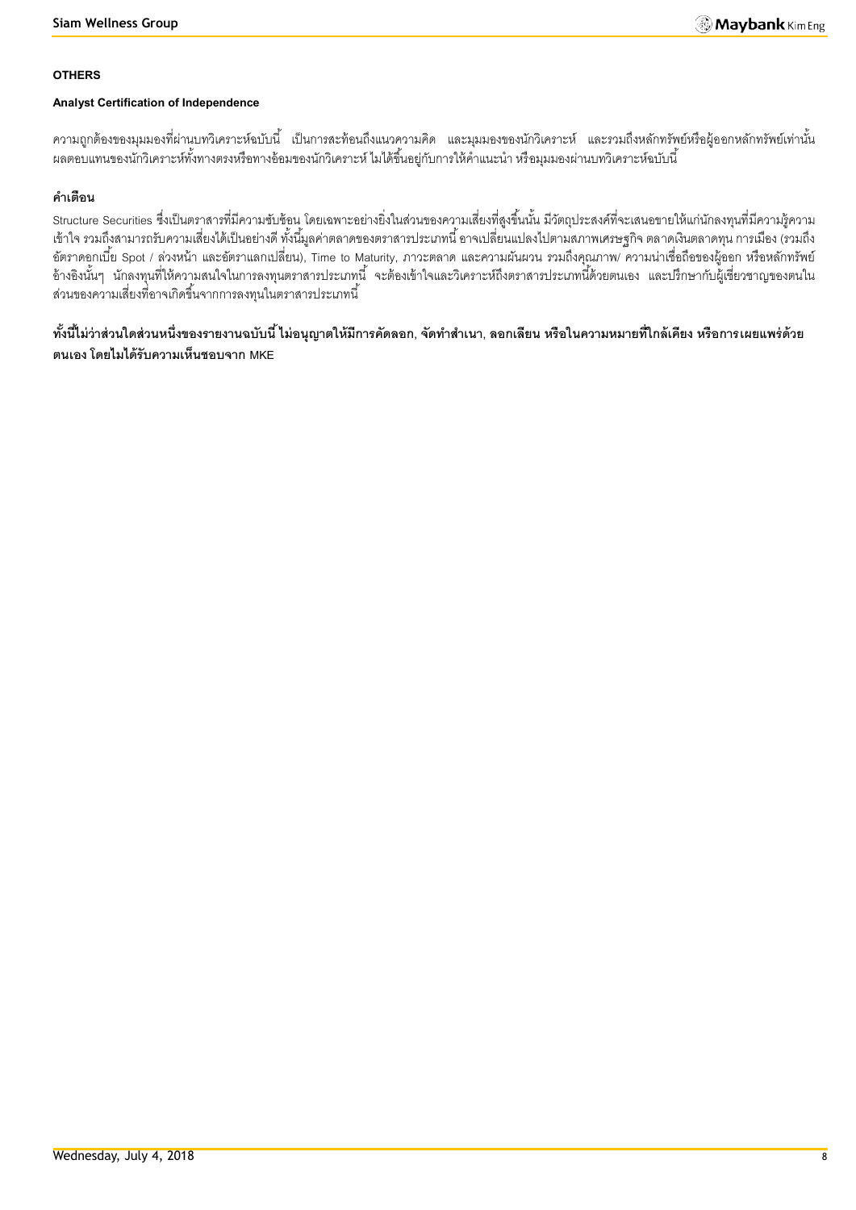#### **OTHERS**

#### **Analyst Certification of Independence**

้ ความถูกต้องของมุมมองที่ผ่านบทวิเคราะห์ฉบับนี้ เป็นการสะท้อนถึงแนวความคิด และมุมมองของนักวิเคราะห์ และรวมถึงหลักทรัพย์หรือผู้ออกหลักทรัพย์เท่านั้น ้ ผลตอบแทนของนักวิเคราะห์ทั้งทางตรงหรือทางอ้อมของนักวิเคราะห์ ไมได้ขึ้นอยู่กับการให้คำแนะนำ หรือมุมมองผ่านบทวิเคราะห์ฉบับนี้

## **ค าเตือน**

Structure Securities ซึ่งเป็นตราสารที่มีความซับซ้อน โดยเฉพาะอย่างยิ่งในส่วนของความเสี่ยงที่สูงขึ้นนั้น มีวัตถุประสงค์ที่จะเสนอขายให้แก่นักลงทุนที่มีความรู้ความ เข้าใจ รวมถึงสามารถรับความเสี่ยงได้เป็ นอย่างดี ทั ้งนี ้มูลค่าตลาดของตราสารประเภทนี ้ อาจเปลี่ยนแปลงไปตามสภาพเศรษฐกิจ ตลาดเงินตลาดทุน การเมือง (รวมถึง อัตราดอกเบี้ย Spot / ล่วงหน้า และอัตราแลกเปลี่ยน), Time to Maturity, ภาวะตลาด และความผันผวน รวมถึงคุณภาพ/ ความน่าเชื่อถือของผู้ออก หรือหลักทรัพย์ อ้างอิงนั้นๆ นักลงทุนที่ให้ความสนใจในการลงทุนตราสารประเภทนี้ จะต้องเข้าใจและวิเคราะห์ถึงตราสารประเภทนี้ด้วยตนเอง และปรึกษากับผู้เชี่ยวชาญของตนใน ส่วนของความเสี่ยงที่อาจเกิดขึ้นจากการลงทุนในตราสารประเภทนี้

์ ทั้งนี้ไม่ว่าส่วนใดส่วนหนึ่งของรายงานฉบับนี้ ไม่อนุญาตให้มีการคัดลอก, จัดทำสำเนา, ลอกเลียน หรือในความหมายที่ใกล้เคียง หรือการเผยแพร่ด้วย **ตนเอง โดยไมได้รับความเห็นชอบจาก MKE**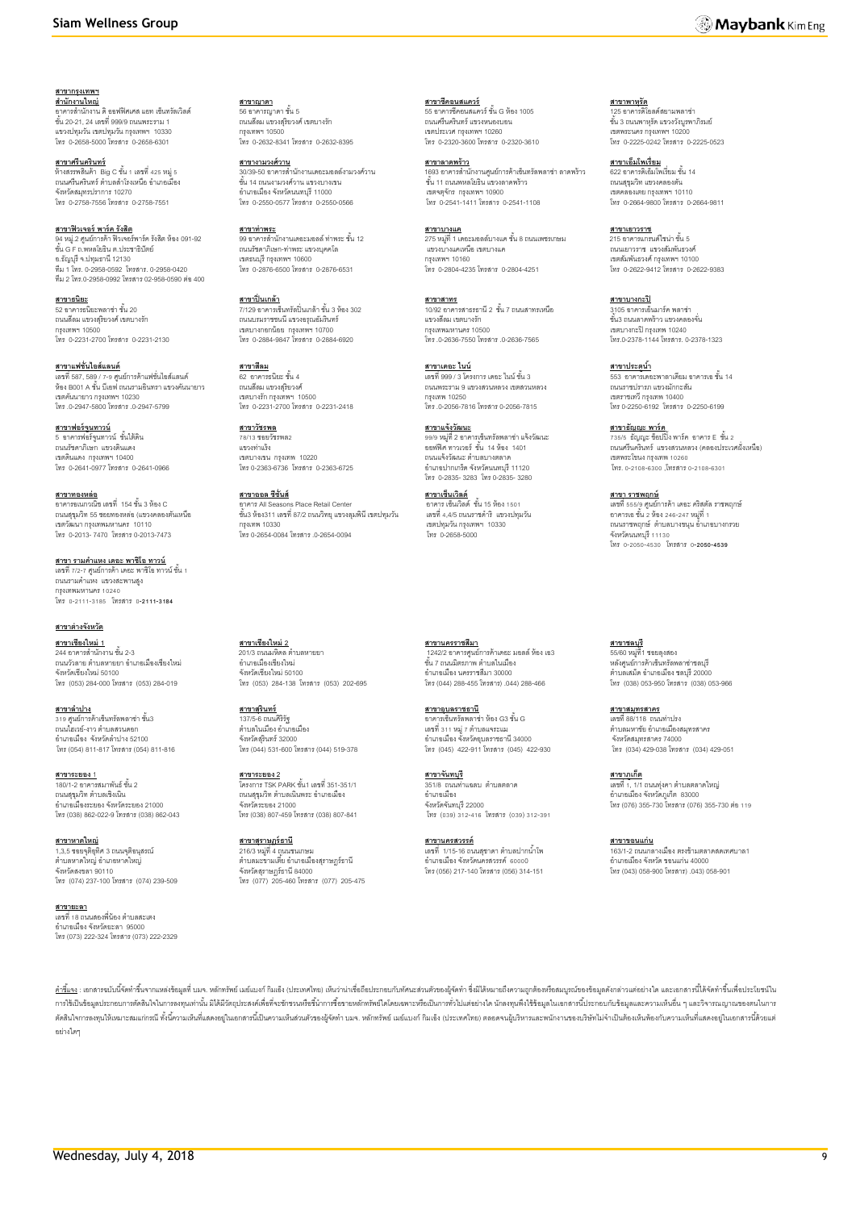#### **Siam Wellness Group**

**สาขากรุงเทพฯ ส านักงานใหญ่** อาคารส านักงาน ดิ ออฟฟิ ศเศส แอท เซ็นทรัลเวิลด์ ชั ้น 20-21, 24 เลขที่ 999/9 ถนนพระราม 1 แขวงปทุมวัน เขตปทุมวัน กรุงเทพฯ 10330 โทร 0-2658-5000 โทรสาร 0-2658-6301

**สาขาศรีนครินทร์** ห้างสรรพสินค้า Big C ชั้น 1 เลขที่ 425 หมู่ 5<br>ถนนศรีนครินทร์ ตำบลลำโรงเหนือ อำเภอเมือง จังหวัดสมุทรปราการ 10270 โทร 0-2758-7556 โทรสาร 0-2758-7551

**สาขาฟิ วเจอร์ พาร์ค รังสิต** 94 หมู่.2 ศูนย์การค้า ฟิวเจอร์พาร์ค รังสิต ห้อง 091-92<br>ชั้น G F ถ.พหลโยธิน ต.ประชาธิปัตย์ อ.ธัญบุรีจ.ปทุมธานี 12130 ทีม 1 โทร. 0-2958-0592 โทรสาร. 0-2958-0420 ทีม 2 โทร.0-2958-0992 โทรสาร 02-958-0590 ต่อ400

**สาขาธนิยะ** 52 อาคารธนิยะพลาซ่า ชั้น 20 ถนนสีลม แขวงสุริยวงศ์ เขตบางรัก กรุงเทพฯ 10500 โทร 0-2231-2700 โทรสาร 0-2231-2130

**สาขาแฟชั่นไอส์แลนด์** เลขที่587, 589 / 7-9 ศูนย์การค้าแฟชั่นไอส์แลนด์ ห้อง B001 A ชั้น บีเอฟ ถนนรามอินทรา แขวงคันนายาว เขตคันนายาว กรุงเทพฯ 10230 โทร .0-2947-5800 โทรสาร .0-2947-5799

**สาขาฟอร์จนู ทาวน์** 5 อาคารฟอร์จูนทาวน์ ชั้นใต้ดิน<br>ถนนรัชดาภิเษก แขวงดินแดง เขตดินแดง กรุงเทพฯ 10400 โทร 0-2641-0977 โทรสาร 0-2641-0966

<mark>สาขาทองหล่อ</mark><br>อาคารอเนกวณิช เลขที่ 154 ชั้น 3 ห้อง C ถนนสุขุมวิท 55 ซอยทองหล่อ (แขวงคลองตันเหนือ เขตวัฒนา กรุงเทพมหานคร 10110 โทร 0-2013- 7470 โทรสาร 0-2013-7473

<u>สาขา รามคำแหง เดอะ พาซิโอ ทาวน์</u> เลขที่ 7/2-7 ศูนย์การค้า เดอะ พาซิโอ ทาวน์ ชั้น 1 ถนนรามคำแหง แขวงสะพานสูง กรุงเทพมหานคร 10240 โทร 0-2111-3185 โทรสาร 0**-2111-3184**

**สาขาต่างจังหวัด สาขาเชียงใหม่ 1** 244 อาคารสำนักงาน ชั้น 2-3 ถนนวัวลาย ตำบลหายยา อำเภอเมืองเชียงใหม่ จังหวัดเชียงใหม่ 50100 โทร (053) 284-000 โทรสาร (053) 284-019

<u>สาขาลำปาง</u><br>319 ศูนย์การค้าเซ็นทรัลพลาซ่า ชั้น3<br>ถนนไฮเวย์-งาว ตำบลสวนดอก อำเภอเมือง จังหวัดลำปาง 52100 โทร (054) 811-817 โทรสาร (054) 811-816

**สาขาระยอง** 1 ้<br>180/1-2 ดาคารสมาพันธ์ ชั้น 2 ้ถนนสุขุมวิท ตำบลเชิงเนิน อ าเภอเมืองระยอง จังหวัดระยอง 21000 โทร (038) 862-022-9 โทรสาร (038) 862-043

**สาขาหาดใหญ่**  <u>...................</u><br>1,3,5 ซอยจุติอุทิศ 3 ถนนจุติอนุสรณ์ ......<br>ตำบลหาดใหญ่ อำเภอหาดใหญ่ จังหวัดสงขลา 90110 โทร (074) 237-100 โทรสาร (074) 239-509

#### **สาขายะลา** <u>ี่ เลขที่ 18 ถนนสองพี่น้</u>อง ตำบลสะเตง อำเภอเมือง จังหวัดยะลา 95000<br>โทร (073) 222-324 โทรสาร (073) 222-2329

**สาขาญาดา** 56 อาคารญาดา ชั้น 5 ถนนสีลม แขวงสุริยวงศ์ เขตบางรัก กรุงเทพฯ 10500 โทร 0-2632-8341 โทรสาร 0-2632-8395

**สาขางามวงศ์วาน** 30/39-50 อาคารส านักงานเดอะมอลล์งามวงศ์วาน งพวษ-50 ยากาศการณา<br>ขั้น 14 ถนนงามวงศ์วาน แขวงบางเขน อำเภอเมือง จังหวัดนนทบุรี 11000<br>โทร 0-2550-0577 โทรสาร 0-2550-0566

**สาขาท่าพระ** ี่ 99 อาคารสำนักงานเดอะมอลล์ ท่าพระ ชั้น 12 ถนนรัชดาภิเษก-ท่าพระ แขวงบุคคโล เขตธนบุรี กรุงเทพฯ 10600 โทร 0-2876-6500 โทรสาร 0-2876-6531

**สาขาปิ่ นเกล้า** 7/129 อาคารเซ็นทรัลปิ่ นเกล้า ชั ้น 3 ห้อง 302 ถนนบรมราชชนนี แขวงอรุณอัมรินทร์ เขตบางกอกน้อย กรุงเทพฯ 10700 โทร 0-2884-9847 โทรสาร 0-2884-6920

**สาขาสีลม** <u>..............</u><br>62 อาคารธนิยะ ชั้น 4 ถนนสีลม แขวงสุริยวงศ์ เขตบางรัก กรุงเทพฯ 10500 โทร 0-2231-2700 โทรสาร 0-2231-2418

**สาขาวัชรพล** 78/13 ซอยวัชรพล2 แขวงท่าแร้ง เขตบางเขน กรุงเทพ 10220 โทร 0-2363-6736 โทรสาร 0-2363-6725

**สาขาออล ซีซั่นส์** อาคาร All Seasons Place Retail Center ชั ้น3 ห้อง311 เลขที่87/2 ถนนวิทยุแขวงลุมพินีเขตปทุมวัน กรุงเทพ 10330 โทร 0-2654-0084 โทรสาร .0-2654-0094

**สาขาเชียงใหม่ 2** .<br>201/3 ถนนมหิดล ตำบลหายยา อ าเภอเมืองเชียงใหม่ จังหวัดเชียงใหม่ 50100 โทร (053) 284-138 โทรสาร (053) 202-695

**สาขาสุรินทร์** 137/5-6 ถนนศิริรัฐ ตำบลใบเบื้อง อำเภอเบื้อง จังหวัดสุรินทร์ 32000 โทร (044) 531-600 โทรสาร (044) 519-378

**สาขาระยอง 2** โครงการ TSK PARK ชั ้น1 เลขที่ 351-351/1 ถนนสุขุมวิท ตำบลเนินพระ อำเภอเมือง จังหวัดระยอง 21000 โทร (038) 807-459 โทรสาร (038) 807-841

**สาขาสุราษฏร์ธานี** 216/3 หมู่ที่ 4 ถนนชนเกษม<br>ตำบลมะขามเตี้ย อำเภอเมืองสุราษฎร์ธานี จังหวัดสุราษฎร์ธานี 84000 โทร (077) 205-460 โทรสาร (077) 205-475 **สาขาซีคอนสแควร์** <u>ร เช เขทยนสแทวว</u><br>55 อาคารซีคอนสแควร์ ชั้น G น้อง 1005 ถนนศรีนครินทร์ แขวงหนองบอน เขตประเวศ กรุงเทพฯ 10260 โทร 0-2320-3600 โทรสาร 0-2320-3610

**สาขาลาดพร้าว** 1693 อาคารสำนักงานศูนย์การค้าเซ็นทรัลพลาซ่า ลาดพร้าว<br>ชั้น 11 ถนนพหลโยธิน แขวงลาดพร้าว เขตจตุจักร กรุงเทพฯ 10900 โทร 0-2541-1411 โทรสาร 0-2541-1108

**สาขาบางแค**  $\frac{1}{275}$  หมู่ที่ 1 เดอะมอลล์บางแค ชั้น 8 ถนนเพชรเกษม ี<br>"เวงแคเหนือ เขตบางแค กรุงเทพฯ 10160 โทร 0-2804-4235 โทรสาร 0-2804-4251

**สาขาสาทร** \_\_\_\_\_\_\_\_<br>92 อาคารสาธรธานี 2 ชั้น 7 ถนนสาทรเหนือ แขวงสีลม เขตบางรัก กรุงเทพมหานคร 10500 โทร .0-2636-7550 โทรสาร .0-2636-7565

**สาขาเดอะ ไนน์** เลขที่ 999 / 3 โครงการ เดอะ ไนน์ ชั้น 3 ถนนพระราม 9 แขวงสวนหลวง เขตสวนหลวง กรุงเทพ 10250 โทร .0-2056-7816 โทรสาร 0-2056-7815

**สาขาแจ้งวัฒนะ** 99/9 หมู่ที่ 2 อาคารเซ็นทรัลพลาซ่า แจ้งวัฒนะ<br>ออฟฟิศ ทาวเวอร์ ชั้น 14 ห้อง 1401 ถนนแจ้งวัฒนะ ตำบลบางตลาด อ าเภอปากเกร็ด จังหวัดนนทบุรี 11120 โทร 0-2835- 3283 โทร 0-2835- 3280

ี<u>สาขาเซ็นเวิลด์</u><br>อาคาร เซ็นเวิลด์ ชั้น 15 ห้อง 1501 เลขที่ 4,4/5 ถนนราชด าริ แขวงปทุมวัน เขตปทุมวัน กรุงเทพฯ 10330 โทร 0-2658-5000

**สาขานครราชสีมา** ี 1242/2 อาคารศูนย์การค้าเดอะ มอลล์ ห้อง เอ3<br>ชั้น 7 ถนนมิตรภาพ ตำบลในเมือง อ าเภอเมือง นครราชสีมา 30000 โทร (044) 288-455 โทรสาร) .044) 288-466

**สาขาอุบลราชธานี** อาคารเซ็นทรัลพลาซ่า ห้อง G3 ชั้น G เลขที่ 311 หมู่ 7 ตำบลแจระแม อ าเภอเมือง จังหวัดอุบลราชธานี 34000 โทร (045) 422-911 โทรสาร (045) 422-930

**สาขาจันทบุรี** 351/8 ถนนท่าแฉลบ ต าบลตลาด ออ*กอ* ถนน จังหวัดจันทบุรี 22000 โทร (039) 312-416 โทรสาร (039) 312-391

**สาขานครสวรรค์** เลขที่ 1/15-16 ถนนสุชาดา ตำบลปากน้ำโพ อ าเภอเมือง จังหวัดนครสวรรค์ 60000 โทร (056) 217-140 โทรสาร (056) 314-151 **สาขาพาหุรัด** 125 อาคารดิโอลด์สยามพลาซ่า ชั้น 3 ถนนพาหรัด แขวงวังบรพาภิรมย์ เขตพระนคร กรุงเทพฯ 10200 โทร 0-2225-0242 โทรสาร 0-2225-0523

**สาขาเอ็มโพเรี่ยม** <u>ดาม เนยพรหร่อนพ</u><br>622 อาคารดิเอ็มโพเรี่ยม ชั้น 14 ถนนสุขุมวิท แขวงคลองตัน เขตคลองเตย กรุงเทพฯ 10110 โทร 0-2664-9800 โทรสาร 0-2664-9811

**สาขาเยาวราช** <u>215 อาคารแกรนด์ไซน่า ชั้น 5</u> ถนนเยาวราช แขวงสัมพันธวงศ์ เขตสัมพันธวงศ์ กรุงเทพฯ 10100 โทร 0-2622-9412 โทรสาร 0-2622-9383

**สาขาบางกะปิ** 3105 อาคารเอ็นมาร์ค พลาซ่า ชั ้น3 ถนนลาดพร้าว แขวงคลองจั่น เขตบางกะปิกรุงเทพ 10240 โทร.0-2378-1144 โทรสาร. 0-2378-1323

<u>สาขาประตูน้ำ</u> <u>นาน เนระผูน เ</u><br>553 อาคารเดอะพาลาเดียม อาคารเอ ชั้น 14 ถนนราชปรารภ แขวงมักกะสัน เขตราชเทวี กรุงเทพ 10400 โทร0-2250-6192 โทรสาร 0-2250-6199

**สาขาธัญญะ พาร์ค**<br>735/5 ธัญญะ ช็อปปิ้ง พาร์ค อาคาร E ชั้น 2<br>ถนนศรีนครินทร์ แขวงสวนหลวง (คลองประเวศฝั่งเหนือ) เขตพระโขนง กรุงเทพ 10260 โทร. 0-2108-6300 ,โทรสาร 0-2108-6301

**สาขา ราชพฤกษ์** เลขที่ 555/9 ศูนย์การค้า เดอะ คริสตัล ราชพฤกษ์ อาคารเอชั ้น 2 ห้อง 246-247 หมู่ที่ 1 ถนนราชพฤกษ์ ต าบลบางขนุน อ าเภอบางกรวย จังหวัดนนทบุรี 11130 โทร 0-2050-4530 โทรสาร 0**-2050-4539**

**สาขาชลบุรี**  55/60 หมู่ที่1 ซอยลุงสอง หลังศูนย์การค้าเซ็นทรัลพลาซ่าชลบุรี ตำบลเสม็ด คำเภคเมือง ชลบุรี 20000 โทร (038) 053-950 โทรสาร (038) 053-966

**สาขาสมุทรสาคร** เลขที่ 88/118 ถนนท่าปรง ตำบลมหาชัย อำเภอเมืองสมุทรสาคร จังหวัดสมุทรสาคร 74000 โทร (034) 429-038 โทรสาร (034) 429-051

**สาขาภูเก็ต** เลขที่ 1, 1/1 ถนนทุ่งคา ตำบลตลาดใหญ่<br>อำเภอเมือง จังหวัดภูเก็ต 83000 โทร (076) 355-730 โทรสาร (076) 355-730 ต่อ 119

**สาขาขอนแก่น** <u>.......................</u><br>163/1-2 ถนนกลางเมือง ตรงข้ามตลาดสดเทศบาล1 อ าเภอเมืองจังหวัด ขอนแก่น 40000 โทร (043) 058-900 โทรสาร) .043) 058-901

<u>คำขึ้แจ</u>ง : เอกสารณับนี้จัดทำขึ้นจากแหล่งข้อมลที่ นมจ. หลักทรัพย์ แล้มเกม ก็ไม่อัง (ประเทศไทย) เห็นว่าน่าเชื่อถือประกอบกับทัศนะส่วนตัวของผู้จัดทำ ซึ่งมิได้หมายถึงความถูกต้องหรือสมบณ์ของข้อมลดังกล่าวแต่อย่างใด และเอกสารนี การใช้เป็นข้อมูลประกอบการตัดนใจในการลงทุนท่านั้น มิได้มีวัตถุประสงค์เพื่อที่จะชักชามที่อชั้นการซื้อชายหลักหรัพย์ใดโดยเฉพาะหรือเป็นการทั่วไปแต่อย่างใด นักลงทุนที่งใช้ข้อมูลในเอกสารนี้ประกอบกับข้อมูลและความเห็นอื่น ๆ และวิจา ตัดสินใจการลงพนให้เหมาะสมแก่กรณีทั้งนี้ความเห็นแลดความเป็นความเห็นส่วนตัวของผู้จัดทำ บมจ. หลักทรัพย์ เมย์แบงก์ กิมเอ็ง (ประเทศไทย) ตลอดจนผู้บริหารและพนักงานของบริษัทไม่จำเป็นต้องเห็นท้องกับความเห็นที่แสดงอยู่ในเอกสารนี้ค้ว อย่างใดๆ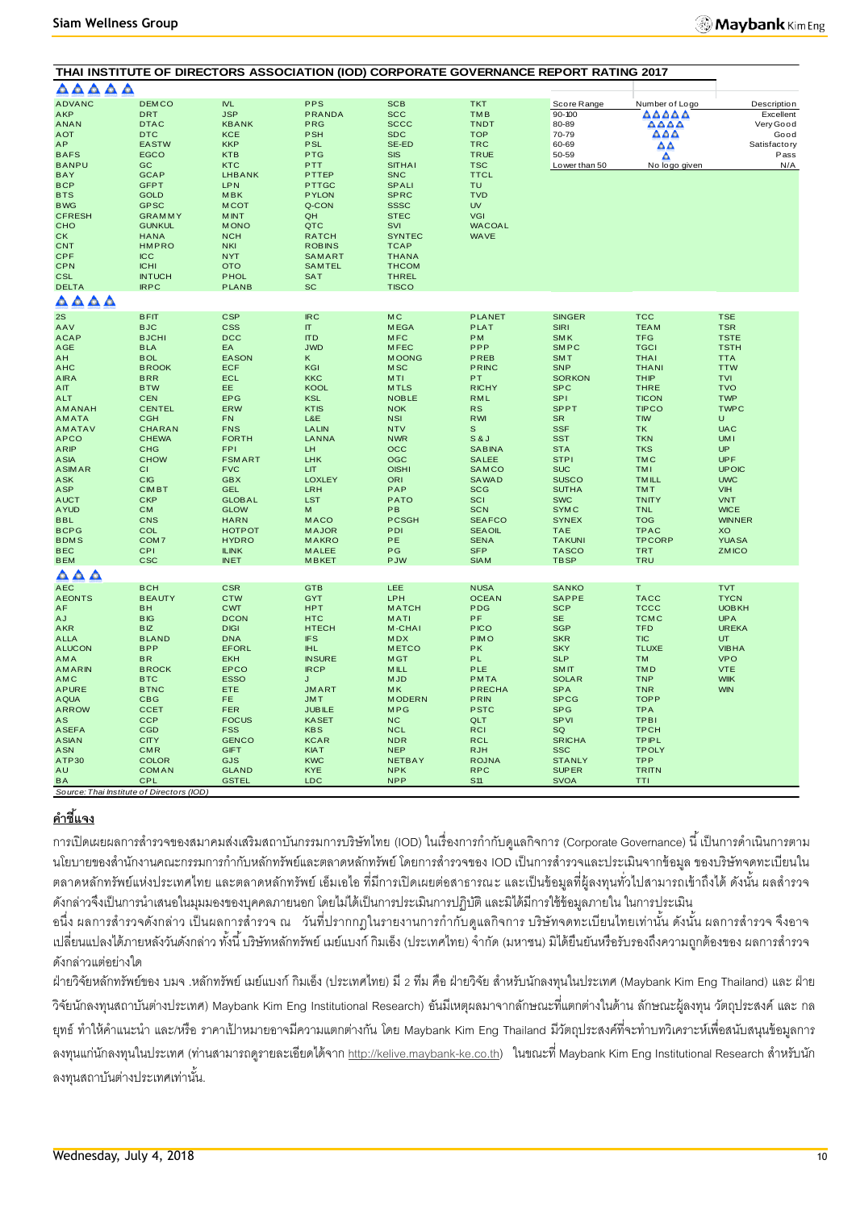| AAAAA                                                                                                                                                                                                                                                                                                                 |                                                                                                                                                                                                                                                                                                           |                                                                                                                                                                                                                                                                                                                                           |                                                                                                                                                                                                                                                                                       | THAI INSTITUTE OF DIRECTORS ASSOCIATION (IOD) CORPORATE GOVERNANCE REPORT RATING 2017                                                                                                                                                                                                                  |                                                                                                                                                                                                                                                                                                                                |                                                                                                                                                                                                                                                                                                                                                                 |                                                                                                                                                                                                                                                                                                                                                                |                                                                                                                                                                                                                                                                                                      |
|-----------------------------------------------------------------------------------------------------------------------------------------------------------------------------------------------------------------------------------------------------------------------------------------------------------------------|-----------------------------------------------------------------------------------------------------------------------------------------------------------------------------------------------------------------------------------------------------------------------------------------------------------|-------------------------------------------------------------------------------------------------------------------------------------------------------------------------------------------------------------------------------------------------------------------------------------------------------------------------------------------|---------------------------------------------------------------------------------------------------------------------------------------------------------------------------------------------------------------------------------------------------------------------------------------|--------------------------------------------------------------------------------------------------------------------------------------------------------------------------------------------------------------------------------------------------------------------------------------------------------|--------------------------------------------------------------------------------------------------------------------------------------------------------------------------------------------------------------------------------------------------------------------------------------------------------------------------------|-----------------------------------------------------------------------------------------------------------------------------------------------------------------------------------------------------------------------------------------------------------------------------------------------------------------------------------------------------------------|----------------------------------------------------------------------------------------------------------------------------------------------------------------------------------------------------------------------------------------------------------------------------------------------------------------------------------------------------------------|------------------------------------------------------------------------------------------------------------------------------------------------------------------------------------------------------------------------------------------------------------------------------------------------------|
| <b>ADVANC</b><br><b>AKP</b><br><b>ANAN</b><br><b>AOT</b><br>AP<br><b>BAFS</b><br><b>BANPU</b><br><b>BAY</b>                                                                                                                                                                                                           | <b>DEMCO</b><br><b>DRT</b><br><b>DTAC</b><br><b>DTC</b><br><b>EASTW</b><br><b>EGCO</b><br>GC<br><b>GCAP</b>                                                                                                                                                                                               | <b>IVL</b><br><b>JSP</b><br><b>KBANK</b><br><b>KCE</b><br><b>KKP</b><br><b>KTB</b><br><b>KTC</b><br><b>LHBANK</b>                                                                                                                                                                                                                         | <b>PPS</b><br><b>PRANDA</b><br>PRG<br><b>PSH</b><br><b>PSL</b><br><b>PTG</b><br>PTT<br>PTTEP                                                                                                                                                                                          | <b>SCB</b><br><b>SCC</b><br><b>SCCC</b><br><b>SDC</b><br>SE-ED<br><b>SIS</b><br><b>SITHAI</b><br><b>SNC</b>                                                                                                                                                                                            | <b>TKT</b><br><b>TMB</b><br><b>TNDT</b><br><b>TOP</b><br><b>TRC</b><br><b>TRUE</b><br><b>TSC</b><br><b>TTCL</b>                                                                                                                                                                                                                | Score Range<br>$90 - 100$<br>80-89<br>70-79<br>60-69<br>50-59<br>Lower than 50                                                                                                                                                                                                                                                                                  | Number of Logo<br>AAAAA<br>AAAA<br>AAA<br>ΔA<br>Δ<br>No logo given                                                                                                                                                                                                                                                                                             | Description<br>Excellent<br>Very Good<br>Good<br><b>Satisfactory</b><br>Pass<br>N/A                                                                                                                                                                                                                  |
| <b>BCP</b><br><b>BTS</b><br><b>BWG</b><br><b>CFRESH</b><br>CHO<br><b>CK</b><br><b>CNT</b><br><b>CPF</b><br><b>CPN</b><br><b>CSL</b><br><b>DELTA</b><br>$\triangle \triangle \triangle \triangle$                                                                                                                      | <b>GFPT</b><br><b>GOLD</b><br><b>GPSC</b><br><b>GRAMMY</b><br><b>GUNKUL</b><br><b>HANA</b><br><b>HMPRO</b><br><b>ICC</b><br><b>ICHI</b><br><b>INTUCH</b><br><b>IRPC</b>                                                                                                                                   | <b>LPN</b><br><b>MBK</b><br><b>MCOT</b><br><b>MINT</b><br><b>MONO</b><br><b>NCH</b><br><b>NKI</b><br><b>NYT</b><br><b>OTO</b><br><b>PHOL</b><br><b>PLANB</b>                                                                                                                                                                              | PTTGC<br><b>PYLON</b><br>Q-CON<br>QH<br>QTC<br><b>RATCH</b><br><b>ROBINS</b><br>SAMART<br><b>SAMTEL</b><br><b>SAT</b><br><b>SC</b>                                                                                                                                                    | <b>SPALI</b><br><b>SPRC</b><br><b>SSSC</b><br><b>STEC</b><br>SVI<br><b>SYNTEC</b><br><b>TCAP</b><br><b>THANA</b><br><b>THCOM</b><br><b>THREL</b><br><b>TISCO</b>                                                                                                                                       | <b>TU</b><br><b>TVD</b><br><b>UV</b><br>VGI<br><b>WACOAL</b><br><b>WAVE</b>                                                                                                                                                                                                                                                    |                                                                                                                                                                                                                                                                                                                                                                 |                                                                                                                                                                                                                                                                                                                                                                |                                                                                                                                                                                                                                                                                                      |
| 2S                                                                                                                                                                                                                                                                                                                    | <b>BFIT</b>                                                                                                                                                                                                                                                                                               | <b>CSP</b>                                                                                                                                                                                                                                                                                                                                | <b>IRC</b>                                                                                                                                                                                                                                                                            | <b>MC</b>                                                                                                                                                                                                                                                                                              | <b>PLANET</b>                                                                                                                                                                                                                                                                                                                  | <b>SINGER</b>                                                                                                                                                                                                                                                                                                                                                   | <b>TCC</b>                                                                                                                                                                                                                                                                                                                                                     | <b>TSE</b>                                                                                                                                                                                                                                                                                           |
| AAV<br><b>ACAP</b><br>AGE<br>AH<br><b>AHC</b><br><b>AIRA</b><br>AIT<br><b>ALT</b><br><b>AMANAH</b><br>AMATA<br>AMATAV<br><b>APCO</b><br><b>ARIP</b><br><b>ASIA</b><br><b>ASIMAR</b><br><b>ASK</b><br><b>ASP</b><br><b>AUCT</b><br><b>AYUD</b><br><b>BBL</b><br><b>BCPG</b><br><b>BDMS</b><br><b>BEC</b><br><b>BEM</b> | <b>BJC</b><br><b>BJCHI</b><br><b>BLA</b><br><b>BOL</b><br><b>BROOK</b><br><b>BRR</b><br><b>BTW</b><br><b>CEN</b><br><b>CENTEL</b><br>CGH<br><b>CHARAN</b><br><b>CHEWA</b><br>CHG<br><b>CHOW</b><br>СI<br><b>CIG</b><br><b>CIMBT</b><br><b>CKP</b><br><b>CM</b><br>CNS<br>COL<br>COM7<br>CPI<br><b>CSC</b> | <b>CSS</b><br><b>DCC</b><br>EA<br><b>EASON</b><br><b>ECF</b><br>ECL<br>EE.<br><b>EPG</b><br><b>ERW</b><br><b>FN</b><br><b>FNS</b><br><b>FORTH</b><br><b>FPI</b><br><b>FSMART</b><br><b>FVC</b><br><b>GBX</b><br><b>GEL</b><br><b>GLOBAL</b><br><b>GLOW</b><br><b>HARN</b><br><b>НОТРОТ</b><br><b>HYDRO</b><br><b>ILINK</b><br><b>INET</b> | $\Pi$<br><b>ITD</b><br><b>JWD</b><br>Κ<br>KGI<br><b>KKC</b><br><b>KOOL</b><br><b>KSL</b><br><b>KTIS</b><br>L&E<br><b>LALIN</b><br>LANNA<br>LH<br>LHK<br>LIT<br><b>LOXLEY</b><br>LRH<br><b>LST</b><br>M<br><b>MACO</b><br><b>MAJOR</b><br><b>MAKRO</b><br><b>MALEE</b><br><b>MBKET</b> | <b>MEGA</b><br><b>MFC</b><br><b>MFEC</b><br><b>MOONG</b><br><b>MSC</b><br>MTI<br><b>MTLS</b><br><b>NOBLE</b><br><b>NOK</b><br><b>NSI</b><br><b>NTV</b><br><b>NWR</b><br>$_{\rm occ}$<br><b>OGC</b><br><b>OISHI</b><br>ORI<br>PAP<br><b>PATO</b><br>PB<br><b>PCSGH</b><br>PDI<br>PE<br>PG<br><b>PJW</b> | <b>PLAT</b><br><b>PM</b><br>PPP<br>PREB<br><b>PRINC</b><br>PT<br><b>RICHY</b><br><b>RML</b><br><b>RS</b><br><b>RWI</b><br>$\mathbf S$<br>S&J<br><b>SABINA</b><br><b>SALEE</b><br>SAMCO<br><b>SAWAD</b><br><b>SCG</b><br><b>SCI</b><br><b>SCN</b><br><b>SEAFCO</b><br><b>SEAOIL</b><br><b>SENA</b><br><b>SFP</b><br><b>SIAM</b> | <b>SIRI</b><br><b>SMK</b><br><b>SMPC</b><br><b>SMT</b><br><b>SNP</b><br><b>SORKON</b><br><b>SPC</b><br><b>SPI</b><br><b>SPPT</b><br><b>SR</b><br><b>SSF</b><br><b>SST</b><br><b>STA</b><br><b>STPI</b><br><b>SUC</b><br><b>SUSCO</b><br><b>SUTHA</b><br><b>SWC</b><br><b>SYMC</b><br><b>SYNEX</b><br><b>TAE</b><br><b>TAKUNI</b><br><b>TASCO</b><br><b>TBSP</b> | <b>TEAM</b><br><b>TFG</b><br><b>TGCI</b><br><b>THAI</b><br><b>THANI</b><br><b>THIP</b><br><b>THRE</b><br><b>TICON</b><br><b>TIPCO</b><br><b>TIW</b><br><b>TK</b><br><b>TKN</b><br><b>TKS</b><br><b>TMC</b><br><b>TMI</b><br><b>TMILL</b><br><b>TMT</b><br><b>TNITY</b><br><b>TNL</b><br><b>TOG</b><br><b>TPAC</b><br><b>TPCORP</b><br><b>TRT</b><br><b>TRU</b> | <b>TSR</b><br><b>TSTE</b><br><b>TSTH</b><br><b>TTA</b><br><b>TTW</b><br><b>TVI</b><br><b>TVO</b><br><b>TWP</b><br><b>TWPC</b><br>Ü<br><b>UAC</b><br><b>UMI</b><br>UP<br><b>UPF</b><br><b>UPOIC</b><br><b>UWC</b><br>VIH<br><b>VNT</b><br><b>WICE</b><br><b>WINNER</b><br>XO<br><b>YUASA</b><br>ZMICO |
| A A A                                                                                                                                                                                                                                                                                                                 |                                                                                                                                                                                                                                                                                                           |                                                                                                                                                                                                                                                                                                                                           |                                                                                                                                                                                                                                                                                       |                                                                                                                                                                                                                                                                                                        |                                                                                                                                                                                                                                                                                                                                |                                                                                                                                                                                                                                                                                                                                                                 |                                                                                                                                                                                                                                                                                                                                                                |                                                                                                                                                                                                                                                                                                      |
| <b>AEC</b><br><b>AEONTS</b><br>AF<br><b>AJ</b><br>AKR<br><b>ALLA</b><br><b>ALUCON</b><br><b>AMA</b><br>AMARIN<br>AMC<br><b>APURE</b><br><b>AQUA</b><br><b>ARROW</b><br>AS<br><b>ASEFA</b><br><b>ASIAN</b><br><b>ASN</b><br>ATP30<br>AU                                                                                | <b>BCH</b><br><b>BEAUTY</b><br><b>BH</b><br><b>BIG</b><br><b>BIZ</b><br><b>BLAND</b><br><b>BPP</b><br><b>BR</b><br><b>BROCK</b><br><b>BTC</b><br><b>BTNC</b><br><b>CBG</b><br><b>CCET</b><br><b>CCP</b><br>CGD<br><b>CITY</b><br><b>CMR</b><br><b>COLOR</b><br><b>COMAN</b>                               | <b>CSR</b><br><b>CTW</b><br><b>CWT</b><br><b>DCON</b><br><b>DIGI</b><br><b>DNA</b><br><b>EFORL</b><br><b>EKH</b><br><b>EPCO</b><br><b>ESSO</b><br>ETE<br>FE.<br><b>FER</b><br><b>FOCUS</b><br><b>FSS</b><br><b>GENCO</b><br><b>GIFT</b><br>GJS<br><b>GLAND</b>                                                                            | <b>GTB</b><br><b>GYT</b><br><b>HPT</b><br><b>HTC</b><br><b>HTECH</b><br><b>IFS</b><br><b>IHL</b><br><b>INSURE</b><br><b>IRCP</b><br>J<br><b>JMART</b><br><b>JMT</b><br><b>JUBILE</b><br><b>KASET</b><br><b>KBS</b><br><b>KCAR</b><br><b>KIAT</b><br><b>KWC</b><br><b>KYE</b>          | LEE<br>LPH<br><b>MATCH</b><br>MATI<br>M-CHAI<br><b>MDX</b><br><b>METCO</b><br><b>MGT</b><br><b>MILL</b><br><b>MJD</b><br><b>MK</b><br><b>MODERN</b><br><b>MPG</b><br><b>NC</b><br><b>NCL</b><br><b>NDR</b><br><b>NEP</b><br><b>NETBAY</b><br><b>NPK</b>                                                | <b>NUSA</b><br><b>OCEAN</b><br><b>PDG</b><br>PF<br><b>PICO</b><br><b>PIMO</b><br>PK<br>PL<br>PLE<br><b>PMTA</b><br><b>PRECHA</b><br><b>PRIN</b><br><b>PSTC</b><br>QLT<br><b>RCI</b><br><b>RCL</b><br><b>RJH</b><br><b>ROJNA</b><br><b>RPC</b>                                                                                  | <b>SANKO</b><br>SAPPE<br><b>SCP</b><br><b>SE</b><br><b>SGP</b><br><b>SKR</b><br><b>SKY</b><br><b>SLP</b><br><b>SMIT</b><br><b>SOLAR</b><br><b>SPA</b><br><b>SPCG</b><br><b>SPG</b><br><b>SPVI</b><br>SQ<br><b>SRICHA</b><br><b>SSC</b><br><b>STANLY</b><br><b>SUPER</b>                                                                                         | T.<br><b>TACC</b><br><b>TCCC</b><br><b>TCMC</b><br><b>TFD</b><br><b>TIC</b><br><b>TLUXE</b><br><b>TM</b><br><b>TMD</b><br><b>TNP</b><br><b>TNR</b><br><b>TOPP</b><br><b>TPA</b><br><b>TPBI</b><br><b>TPCH</b><br><b>TPIPL</b><br><b>TPOLY</b><br><b>TPP</b><br><b>TRITN</b>                                                                                    | <b>TVT</b><br><b>TYCN</b><br><b>UOBKH</b><br><b>UPA</b><br><b>UREKA</b><br>UT<br><b>VIBHA</b><br><b>VPO</b><br><b>VTE</b><br><b>WIIK</b><br><b>WIN</b>                                                                                                                                               |
| <b>BA</b><br>Source: Thai Institute of Directors (IOD)                                                                                                                                                                                                                                                                | CPL                                                                                                                                                                                                                                                                                                       | <b>GSTEL</b>                                                                                                                                                                                                                                                                                                                              | LDC                                                                                                                                                                                                                                                                                   | NPP                                                                                                                                                                                                                                                                                                    | S11                                                                                                                                                                                                                                                                                                                            | <b>SVOA</b>                                                                                                                                                                                                                                                                                                                                                     | <b>TTI</b>                                                                                                                                                                                                                                                                                                                                                     |                                                                                                                                                                                                                                                                                                      |

## **ค าชี้แจง**

การเปิดเผยผลการสำรวจของสมาคมส่งเสริมสถาบันกรรมการบริษัทไทย (IOD) ในเรื่องการกำกับดูแลกิจการ (Corporate Governance) นี้ เป็นการดำเนินการตาม นโยบายของสำนักงานคณะกรรมการกำกับหลักทรัพย์และตลาดหลักทรัพย์ โดยการสำรวจของ IOD เป็นการสำรวจและประเมินจากข้อมูล ของบริษัทจดทะเบียนใน ตลาดหลักทรัพย์แห่งประเทศไทย และตลาดหลักทรัพย์ เอ็มเอไอ ที่มีการเปิดเผยต่อสาธารณะ และเป็นข้อมูลที่ผู้ลงทุนทั่วไปสามารถเข้าถึงได้ ดังนั้น ผลสำรวจ ดังกล่าวจึงเป็นการนำเสนอในมุมมองของบุคคลภายนอก โดยไม่ได้เป็นการประเมินการปฏิบัติ และมิได้มีการใช้ข้อมูลภายใน ในการประเมิน

้ อนึ่ง ผลการสำรวจดังกล่าว เป็นผลการสำรวจ ณ วันที่ปรากกฎในรายงานการกำกับดูแลกิจการ บริษัทจดทะเบียนไทยเท่านั้น ดังนั้น ผลการสำรวจ จึงอาจ เปลี่ยนแปลงได้ภายหลังวันดังกล่าว ทั้งนี้ บริษัทหลักทรัพย์ เมย์แบงก์ กิมเอ็ง (ประเทศไทย) จำกัด (มหาชน) มิได้ยืนยันหรือรับรองถึงความถูกต้องของ ผลการสำรวจ ดังกล่าวแต่อย่างใด

ฝ่ายวิจัยหลักทรัพย์ของ บมจ .หลักทรัพย์ เมย์แบงก์ กิมเอ็ง (ประเทศไทย) มี 2 ทีม คือ ฝ่ายวิจัย สำหรับนักลงทุนในประเทศ (Maybank Kim Eng Thailand) และ ฝ่าย วิจัยนักลงทุนสถาบันต่างประเทศ) Maybank Kim Eng Institutional Research) อันมีเหตุผลมาจากลักษณะที่แตกต่างในด้าน ลักษณะผู้ลงทุน วัตถุประสงค์และ กล ียุทธ์ ทำให้คำแนะนำ และ/หรือ ราคาเป้าหมายอาจมีความแตกต่างกัน โดย Maybank Kim Eng Thailand มีวัตถุประสงค์ที่จะทำบทวิเคราะห์เพื่อสนับสนุนข้อมูลการ ลงทนแ[ก](http://kelive.maybank-ke.co.th/)่นักลงทนในประเทศ (ท่านสามารถดรายละเอียดได้จาก [http://kelive.maybank-ke.co.th\)](http://kelive.maybank-ke.co.th/) ในขณะที่ Maybank Kim Eng Institutional Research สำหรับนัก ลงทนสถาบันต่างประเทศเท่านั้น.